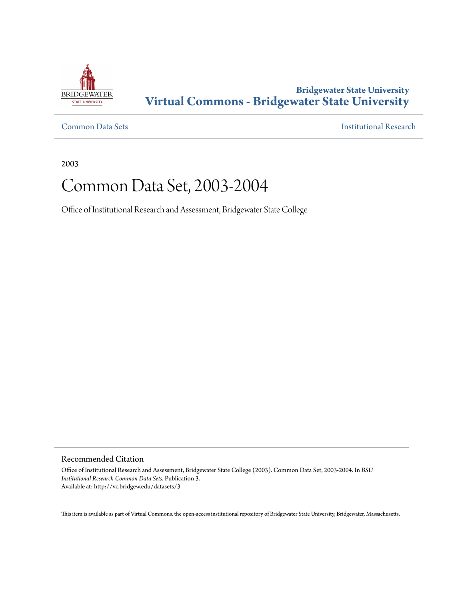

# **Bridgewater State University [Virtual Commons - Bridgewater State University](http://vc.bridgew.edu)**

[Common Data Sets](http://vc.bridgew.edu/datasets) [Institutional Research](http://vc.bridgew.edu/inst_research)

2003

# Common Data Set, 2003-2004

Office of Institutional Research and Assessment, Bridgewater State College

Recommended Citation

Office of Institutional Research and Assessment, Bridgewater State College (2003). Common Data Set, 2003-2004. In *BSU Institutional Research Common Data Sets.* Publication 3. Available at: http://vc.bridgew.edu/datasets/3

This item is available as part of Virtual Commons, the open-access institutional repository of Bridgewater State University, Bridgewater, Massachusetts.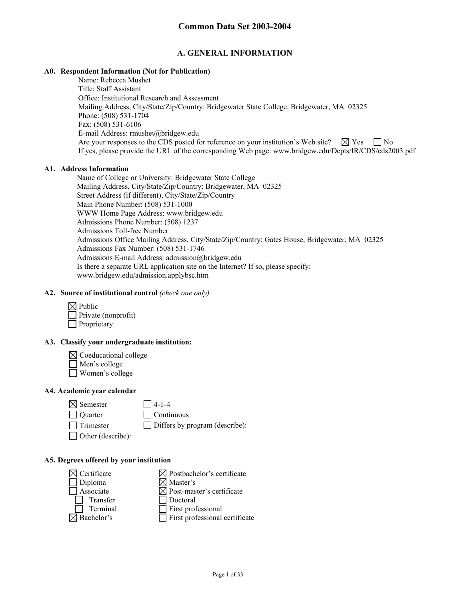#### **A. GENERAL INFORMATION**

#### **A0. Respondent Information (Not for Publication)**

Name: Rebecca Mushet Title: Staff Assistant Office: Institutional Research and Assessment Mailing Address, City/State/Zip/Country: Bridgewater State College, Bridgewater, MA 02325 Phone: (508) 531-1704 Fax: (508) 531-6106 E-mail Address: rmushet@bridgew.edu Are your responses to the CDS posted for reference on your institution's Web site?  $\boxtimes$  Yes  $\Box$  No If yes, please provide the URL of the corresponding Web page: www.bridgew.edu/Depts/IR/CDS/cds2003.pdf

#### **A1. Address Information**

Name of College or University: Bridgewater State College Mailing Address, City/State/Zip/Country: Bridgewater, MA 02325 Street Address (if different), City/State/Zip/Country Main Phone Number: (508) 531-1000 WWW Home Page Address: www.bridgew.edu Admissions Phone Number: (508) 1237 Admissions Toll-free Number Admissions Office Mailing Address, City/State/Zip/Country: Gates House, Bridgewater, MA 02325 Admissions Fax Number: (508) 531-1746 Admissions E-mail Address: admission@bridgew.edu Is there a separate URL application site on the Internet? If so, please specify: www.bridgew.edu/admission.applybsc.htm

#### **A2. Source of institutional control** *(check one only)*



#### **A3. Classify your undergraduate institution:**

 $\boxtimes$  Coeducational college

Men's college

Women's college

#### **A4. Academic year calendar**

 $\boxtimes$  Semester 14-1-4

Quarter Continuous

 $\Box$  Trimester  $\Box$  Differs by program (describe):

Other (describe):

#### **A5. Degrees offered by your institution**

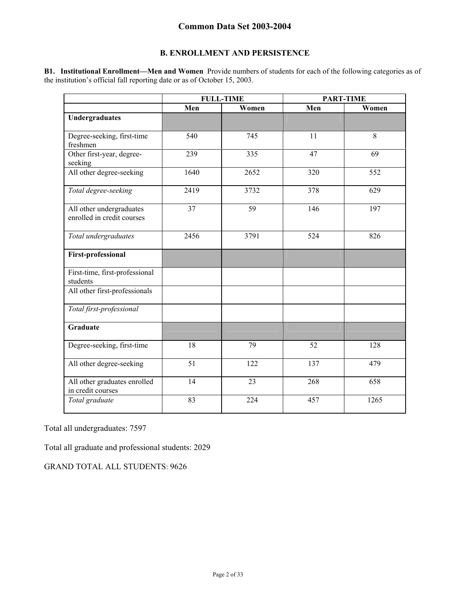## **B. ENROLLMENT AND PERSISTENCE**

**B1. Institutional Enrollment—Men and Women** Provide numbers of students for each of the following categories as of the institution's official fall reporting date or as of October 15, 2003.

|                                                        |      | <b>FULL-TIME</b> |     | <b>PART-TIME</b> |
|--------------------------------------------------------|------|------------------|-----|------------------|
|                                                        | Men  | Women            | Men | Women            |
| <b>Undergraduates</b>                                  |      |                  |     |                  |
| Degree-seeking, first-time<br>freshmen                 | 540  | 745              | 11  | 8                |
| Other first-year, degree-<br>seeking                   | 239  | 335              | 47  | 69               |
| All other degree-seeking                               | 1640 | 2652             | 320 | 552              |
| Total degree-seeking                                   | 2419 | 3732             | 378 | 629              |
| All other undergraduates<br>enrolled in credit courses | 37   | 59               | 146 | 197              |
| Total undergraduates                                   | 2456 | 3791             | 524 | 826              |
| <b>First-professional</b>                              |      |                  |     |                  |
| First-time, first-professional<br>students             |      |                  |     |                  |
| All other first-professionals                          |      |                  |     |                  |
| Total first-professional                               |      |                  |     |                  |
| Graduate                                               |      |                  |     |                  |
| Degree-seeking, first-time                             | 18   | 79               | 52  | 128              |
| All other degree-seeking                               | 51   | 122              | 137 | 479              |
| All other graduates enrolled<br>in credit courses      | 14   | 23               | 268 | 658              |
| Total graduate                                         | 83   | 224              | 457 | 1265             |

Total all undergraduates: 7597

Total all graduate and professional students: 2029

GRAND TOTAL ALL STUDENTS: 9626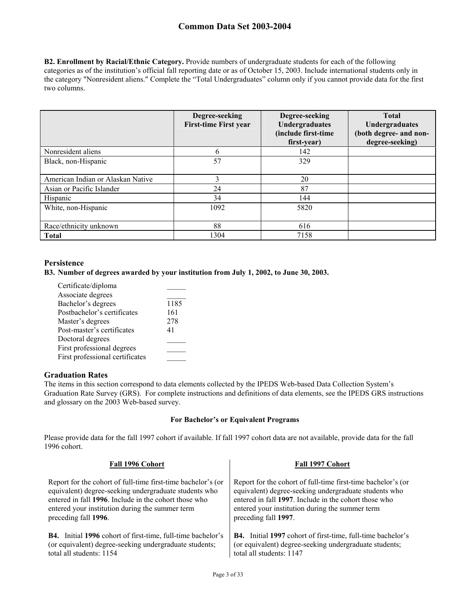**B2. Enrollment by Racial/Ethnic Category.** Provide numbers of undergraduate students for each of the following categories as of the institution's official fall reporting date or as of October 15, 2003. Include international students only in the category "Nonresident aliens." Complete the "Total Undergraduates" column only if you cannot provide data for the first two columns.

|                                   | Degree-seeking<br><b>First-time First year</b> | Degree-seeking<br>Undergraduates<br>(include first-time<br>first-year) | <b>Total</b><br>Undergraduates<br>(both degree- and non-<br>degree-seeking) |
|-----------------------------------|------------------------------------------------|------------------------------------------------------------------------|-----------------------------------------------------------------------------|
| Nonresident aliens                | 6                                              | 142                                                                    |                                                                             |
| Black, non-Hispanic               | 57                                             | 329                                                                    |                                                                             |
| American Indian or Alaskan Native | 3                                              | 20                                                                     |                                                                             |
| Asian or Pacific Islander         | 24                                             | 87                                                                     |                                                                             |
| Hispanic                          | 34                                             | 144                                                                    |                                                                             |
| White, non-Hispanic               | 1092                                           | 5820                                                                   |                                                                             |
| Race/ethnicity unknown            | 88                                             | 616                                                                    |                                                                             |
| <b>Total</b>                      | 1304                                           | 7158                                                                   |                                                                             |

#### **Persistence**

#### **B3. Number of degrees awarded by your institution from July 1, 2002, to June 30, 2003.**

| Certificate/diploma             |      |
|---------------------------------|------|
| Associate degrees               |      |
| Bachelor's degrees              | 1185 |
| Postbachelor's certificates     | 161  |
| Master's degrees                | 278  |
| Post-master's certificates      | 41   |
| Doctoral degrees                |      |
| First professional degrees      |      |
| First professional certificates |      |

#### **Graduation Rates**

The items in this section correspond to data elements collected by the IPEDS Web-based Data Collection System's Graduation Rate Survey (GRS). For complete instructions and definitions of data elements, see the IPEDS GRS instructions and glossary on the 2003 Web-based survey.

#### **For Bachelor's or Equivalent Programs**

Please provide data for the fall 1997 cohort if available. If fall 1997 cohort data are not available, provide data for the fall 1996 cohort.

| Fall 1996 Cohort                                                   | Fall 1997 Cohort                                                   |
|--------------------------------------------------------------------|--------------------------------------------------------------------|
| Report for the cohort of full-time first-time bachelor's (or       | Report for the cohort of full-time first-time bachelor's (or       |
| equivalent) degree-seeking undergraduate students who              | equivalent) degree-seeking undergraduate students who              |
| entered in fall 1996. Include in the cohort those who              | entered in fall 1997. Include in the cohort those who              |
| entered your institution during the summer term                    | entered your institution during the summer term                    |
| preceding fall 1996.                                               | preceding fall 1997.                                               |
| <b>B4.</b> Initial 1996 cohort of first-time, full-time bachelor's | <b>B4.</b> Initial 1997 cohort of first-time, full-time bachelor's |
| (or equivalent) degree-seeking undergraduate students;             | (or equivalent) degree-seeking undergraduate students;             |
| total all students: 1154                                           | total all students: 1147                                           |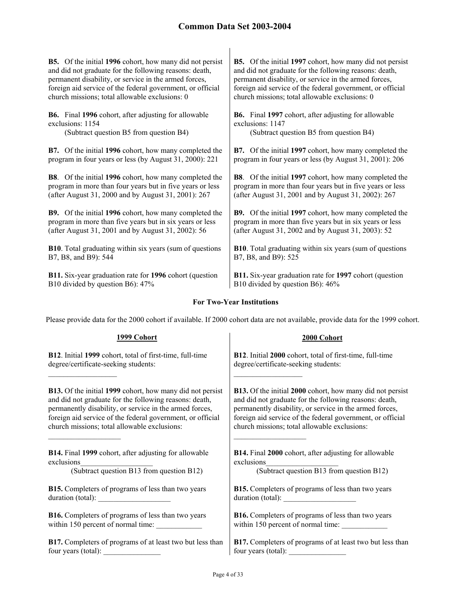**B5.** Of the initial **1996** cohort, how many did not persist and did not graduate for the following reasons: death, permanent disability, or service in the armed forces, foreign aid service of the federal government, or official church missions; total allowable exclusions: 0

**B6.** Final **1996** cohort, after adjusting for allowable exclusions: 1154

(Subtract question B5 from question B4) (Subtract question B5 from question B4)

**B7.** Of the initial **1996** cohort, how many completed the program in four years or less (by August 31, 2000): 221

**B8**. Of the initial **1996** cohort, how many completed the program in more than four years but in five years or less (after August 31, 2000 and by August 31, 2001): 267

**B9.** Of the initial **1996** cohort, how many completed the program in more than five years but in six years or less (after August 31, 2001 and by August 31, 2002): 56

**B10**. Total graduating within six years (sum of questions B7, B8, and B9): 544

**B11.** Six-year graduation rate for **1996** cohort (question B10 divided by question B6): 47%

**B5.** Of the initial **1997** cohort, how many did not persist and did not graduate for the following reasons: death, permanent disability, or service in the armed forces, foreign aid service of the federal government, or official church missions; total allowable exclusions: 0

**B6.** Final **1997** cohort, after adjusting for allowable exclusions: 1147

**B7.** Of the initial **1997** cohort, how many completed the program in four years or less (by August 31, 2001): 206

**B8**. Of the initial **1997** cohort, how many completed the program in more than four years but in five years or less (after August 31, 2001 and by August 31, 2002): 267

**B9.** Of the initial **1997** cohort, how many completed the program in more than five years but in six years or less (after August 31, 2002 and by August 31, 2003): 52

**B10**. Total graduating within six years (sum of questions B7, B8, and B9): 525

**B11.** Six-year graduation rate for **1997** cohort (question B10 divided by question B6): 46%

#### **For Two-Year Institutions**

Please provide data for the 2000 cohort if available. If 2000 cohort data are not available, provide data for the 1999 cohort.

| 1999 Cohort                                                      | 2000 Cohort                                                      |
|------------------------------------------------------------------|------------------------------------------------------------------|
| B12. Initial 1999 cohort, total of first-time, full-time         | B12. Initial 2000 cohort, total of first-time, full-time         |
| degree/certificate-seeking students:                             | degree/certificate-seeking students:                             |
| <b>B13.</b> Of the initial 1999 cohort, how many did not persist | <b>B13.</b> Of the initial 2000 cohort, how many did not persist |
| and did not graduate for the following reasons: death,           | and did not graduate for the following reasons: death,           |
| permanently disability, or service in the armed forces,          | permanently disability, or service in the armed forces,          |
| foreign aid service of the federal government, or official       | foreign aid service of the federal government, or official       |
| church missions; total allowable exclusions:                     | church missions; total allowable exclusions:                     |
| <b>B14.</b> Final 1999 cohort, after adjusting for allowable     | <b>B14.</b> Final 2000 cohort, after adjusting for allowable     |
| exclusions                                                       | exclusions                                                       |
| (Subtract question B13 from question B12)                        | (Subtract question B13 from question B12)                        |
| <b>B15.</b> Completers of programs of less than two years        | <b>B15.</b> Completers of programs of less than two years        |
| duration (total):                                                | duration (total):                                                |
| <b>B16.</b> Completers of programs of less than two years        | <b>B16.</b> Completers of programs of less than two years        |
| within 150 percent of normal time:                               | within 150 percent of normal time:                               |
| <b>B17.</b> Completers of programs of at least two but less than | <b>B17.</b> Completers of programs of at least two but less than |
| four years (total):                                              | four years (total):                                              |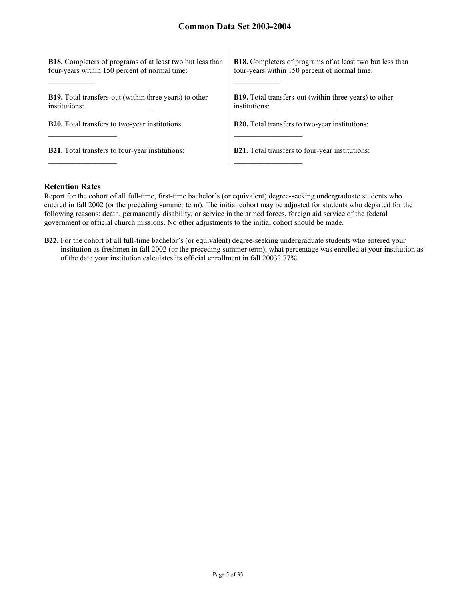$\mathbf{I}$ 

| <b>B18.</b> Completers of programs of at least two but less than | <b>B18.</b> Completers of programs of at least two but less than |
|------------------------------------------------------------------|------------------------------------------------------------------|
| four-years within 150 percent of normal time:                    | four-years within 150 percent of normal time:                    |
| <b>B19.</b> Total transfers-out (within three years) to other    | <b>B19.</b> Total transfers-out (within three years) to other    |
| institutions:                                                    | institutions:                                                    |
| <b>B20.</b> Total transfers to two-year institutions:            | <b>B20.</b> Total transfers to two-year institutions:            |
| <b>B21.</b> Total transfers to four-year institutions:           | <b>B21.</b> Total transfers to four-year institutions:           |

#### **Retention Rates**

Report for the cohort of all full-time, first-time bachelor's (or equivalent) degree-seeking undergraduate students who entered in fall 2002 (or the preceding summer term). The initial cohort may be adjusted for students who departed for the following reasons: death, permanently disability, or service in the armed forces, foreign aid service of the federal government or official church missions. No other adjustments to the initial cohort should be made.

**B22.** For the cohort of all full-time bachelor's (or equivalent) degree-seeking undergraduate students who entered your institution as freshmen in fall 2002 (or the preceding summer term), what percentage was enrolled at your institution as of the date your institution calculates its official enrollment in fall 2003? 77%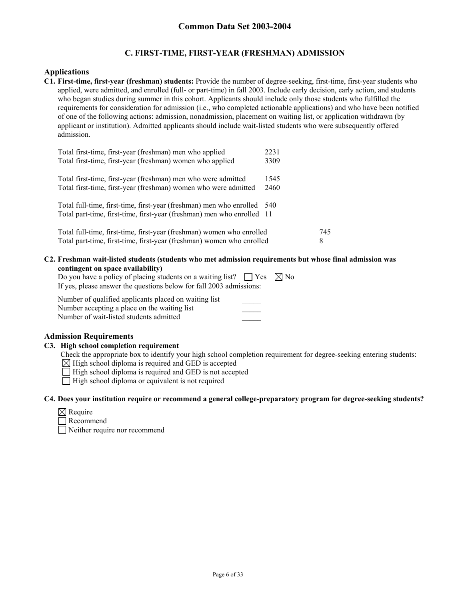## **C. FIRST-TIME, FIRST-YEAR (FRESHMAN) ADMISSION**

#### **Applications**

**C1. First-time, first-year (freshman) students:** Provide the number of degree-seeking, first-time, first-year students who applied, were admitted, and enrolled (full- or part-time) in fall 2003. Include early decision, early action, and students who began studies during summer in this cohort. Applicants should include only those students who fulfilled the requirements for consideration for admission (i.e., who completed actionable applications) and who have been notified of one of the following actions: admission, nonadmission, placement on waiting list, or application withdrawn (by applicant or institution). Admitted applicants should include wait-listed students who were subsequently offered admission.

| Total first-time, first-year (freshman) men who applied                 | 2231 |     |
|-------------------------------------------------------------------------|------|-----|
| Total first-time, first-year (freshman) women who applied               | 3309 |     |
| Total first-time, first-year (freshman) men who were admitted           | 1545 |     |
| Total first-time, first-year (freshman) women who were admitted         | 2460 |     |
| Total full-time, first-time, first-year (freshman) men who enrolled 540 |      |     |
| Total part-time, first-time, first-year (freshman) men who enrolled 11  |      |     |
| Total full-time, first-time, first-year (freshman) women who enrolled   |      | 745 |
| Total part-time, first-time, first-year (freshman) women who enrolled   |      | 8   |

**C2. Freshman wait-listed students (students who met admission requirements but whose final admission was contingent on space availability)**

| Do you have a policy of placing students on a waiting list? $\Box$ Yes $\Box$ No |  |
|----------------------------------------------------------------------------------|--|
| If yes, please answer the questions below for fall 2003 admissions:              |  |

| Number of qualified applicants placed on waiting list |  |
|-------------------------------------------------------|--|
| Number accepting a place on the waiting list          |  |
| Number of wait-listed students admitted               |  |

#### **Admission Requirements**

#### **C3. High school completion requirement**

Check the appropriate box to identify your high school completion requirement for degree-seeking entering students:

 $\boxtimes$  High school diploma is required and GED is accepted

 $\Box$  High school diploma is required and GED is not accepted

 $\Box$  High school diploma or equivalent is not required

#### **C4. Does your institution require or recommend a general college-preparatory program for degree-seeking students?**

| ×I Require |
|------------|
|            |

Recommend Neither require nor recommend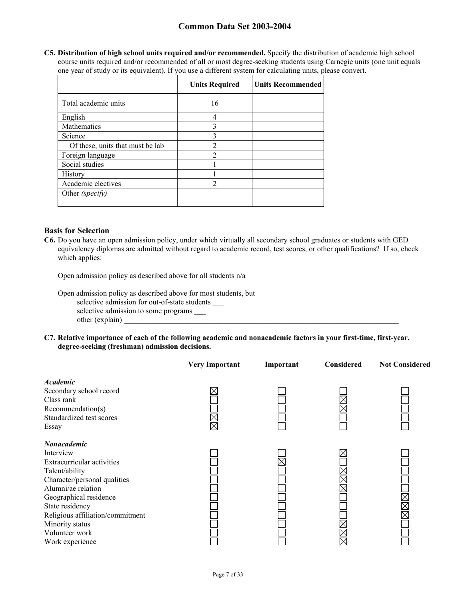**C5. Distribution of high school units required and/or recommended.** Specify the distribution of academic high school course units required and/or recommended of all or most degree-seeking students using Carnegie units (one unit equals one year of study or its equivalent). If you use a different system for calculating units, please convert.

|                                  | <b>Units Required</b> | <b>Units Recommended</b> |
|----------------------------------|-----------------------|--------------------------|
| Total academic units             | 16                    |                          |
| English                          |                       |                          |
| Mathematics                      | 3                     |                          |
| Science                          | 3                     |                          |
| Of these, units that must be lab | $\mathcal{D}$         |                          |
| Foreign language                 | $\mathfrak{D}$        |                          |
| Social studies                   |                       |                          |
| History                          |                       |                          |
| Academic electives               | っ                     |                          |
| Other (specify)                  |                       |                          |

## **Basis for Selection**

**C6.** Do you have an open admission policy, under which virtually all secondary school graduates or students with GED equivalency diplomas are admitted without regard to academic record, test scores, or other qualifications? If so, check which applies:

Open admission policy as described above for all students n/a

Open admission policy as described above for most students, but selective admission for out-of-state students selective admission to some programs \_\_\_ other (explain)

**C7. Relative importance of each of the following academic and nonacademic factors in your first-time, first-year, degree-seeking (freshman) admission decisions.** 

|                                  | <b>Very Important</b> | Important | Considered | <b>Not Considered</b> |
|----------------------------------|-----------------------|-----------|------------|-----------------------|
| <b>Academic</b>                  |                       |           |            |                       |
| Secondary school record          |                       |           |            |                       |
| Class rank                       |                       |           |            |                       |
| Recommendation(s)                |                       |           |            |                       |
| Standardized test scores         | $\boxtimes$           |           |            |                       |
| Essay                            |                       |           |            |                       |
| Nonacademic                      |                       |           |            |                       |
| Interview                        |                       |           |            |                       |
| Extracurricular activities       |                       |           |            |                       |
| Talent/ability                   |                       |           |            |                       |
| Character/personal qualities     |                       |           |            |                       |
| Alumni/ae relation               |                       |           |            |                       |
| Geographical residence           |                       |           |            |                       |
| State residency                  |                       |           |            | K<br>K                |
| Religious affiliation/commitment |                       |           |            |                       |
| Minority status                  |                       |           |            |                       |
| Volunteer work                   |                       |           |            |                       |
| Work experience                  |                       |           |            |                       |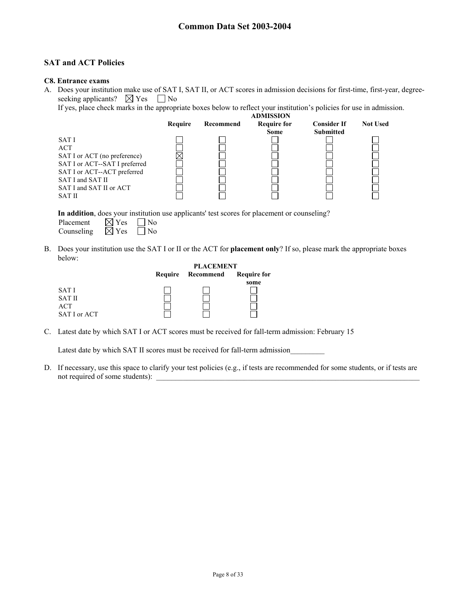# **SAT and ACT Policies**

#### **C8. Entrance exams**

A. Does your institution make use of SAT I, SAT II, or ACT scores in admission decisions for first-time, first-year, degreeseeking applicants?  $\boxtimes$  Yes  $\Box$  No

If yes, place check marks in the appropriate boxes below to reflect your institution's policies for use in admission.

|                               |         |           | <b>ADMISSION</b>   |                    |                 |
|-------------------------------|---------|-----------|--------------------|--------------------|-----------------|
|                               | Require | Recommend | <b>Require for</b> | <b>Consider If</b> | <b>Not Used</b> |
|                               |         |           | Some               | <b>Submitted</b>   |                 |
| SAT I                         |         |           |                    |                    |                 |
| ACT                           |         |           |                    |                    |                 |
| SAT I or ACT (no preference)  |         |           |                    |                    |                 |
| SAT I or ACT--SAT I preferred |         |           |                    |                    |                 |
| SAT I or ACT--ACT preferred   |         |           |                    |                    |                 |
| SAT I and SAT II              |         |           |                    |                    |                 |
| SAT I and SAT II or ACT       |         |           |                    |                    |                 |
| SAT II                        |         |           |                    |                    |                 |
|                               |         |           |                    |                    |                 |

**In addition**, does your institution use applicants' test scores for placement or counseling?

| Placement  | $\boxtimes$ Yes | $\Box$ No |
|------------|-----------------|-----------|
| Counseling | $\boxtimes$ Yes | $\Box$ No |

B. Does your institution use the SAT I or II or the ACT for **placement only**? If so, please mark the appropriate boxes below:

|               |         | <b>PLACEMENT</b> |                    |  |
|---------------|---------|------------------|--------------------|--|
|               | Require | Recommend        | <b>Require for</b> |  |
|               |         |                  | some               |  |
| SAT I         |         |                  |                    |  |
| <b>SAT II</b> |         |                  |                    |  |
| ACT           |         |                  |                    |  |
| SAT I or ACT  |         |                  |                    |  |

C. Latest date by which SAT I or ACT scores must be received for fall-term admission: February 15

Latest date by which SAT II scores must be received for fall-term admission

D. If necessary, use this space to clarify your test policies (e.g., if tests are recommended for some students, or if tests are not required of some students):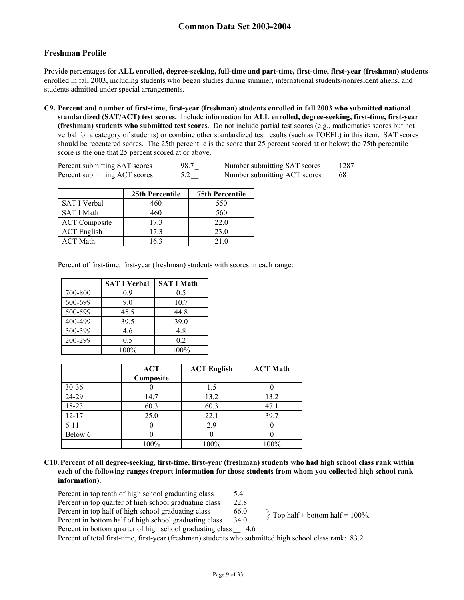# **Freshman Profile**

Provide percentages for **ALL enrolled, degree-seeking, full-time and part-time, first-time, first-year (freshman) students**  enrolled in fall 2003, including students who began studies during summer, international students/nonresident aliens, and students admitted under special arrangements.

**C9. Percent and number of first-time, first-year (freshman) students enrolled in fall 2003 who submitted national standardized (SAT/ACT) test scores.** Include information for **ALL enrolled, degree-seeking, first-time, first-year (freshman) students who submitted test scores**. Do not include partial test scores (e.g., mathematics scores but not verbal for a category of students) or combine other standardized test results (such as TOEFL) in this item. SAT scores should be recentered scores. The 25th percentile is the score that 25 percent scored at or below; the 75th percentile score is the one that 25 percent scored at or above.

| Percent submitting SAT scores | 98.7 | Number submitting SAT scores | 1287 |
|-------------------------------|------|------------------------------|------|
| Percent submitting ACT scores |      | Number submitting ACT scores | 68   |

|                      | 25th Percentile | <b>75th Percentile</b> |
|----------------------|-----------------|------------------------|
| <b>SAT I Verbal</b>  | 460             | 550                    |
| <b>SAT I Math</b>    | 460             | 560                    |
| <b>ACT</b> Composite | 173             | 22.0                   |
| <b>ACT</b> English   | 173             | 23.0                   |
| <b>ACT Math</b>      | 163             | 21.0                   |

Percent of first-time, first-year (freshman) students with scores in each range:

|         | <b>SAT I Verbal</b> | <b>SAT I Math</b> |
|---------|---------------------|-------------------|
| 700-800 | 0.9                 | 0.5               |
| 600-699 | 9.0                 | 10.7              |
| 500-599 | 45.5                | 44.8              |
| 400-499 | 39.5                | 39.0              |
| 300-399 | 4.6                 | 4.8               |
| 200-299 | 0.5                 | 0.2               |
|         | 100%                | 100%              |

|           | <b>ACT</b><br>Composite | <b>ACT English</b> | <b>ACT Math</b> |
|-----------|-------------------------|--------------------|-----------------|
| $30 - 36$ |                         | 1.5                |                 |
| 24-29     | 14.7                    | 13.2               | 13.2            |
| 18-23     | 60.3                    | 60.3               | 47.1            |
| $12 - 17$ | 25.0                    | 22.1               | 39.7            |
| $6 - 11$  |                         | 2.9                |                 |
| Below 6   |                         |                    |                 |
|           | 100%                    | 100%               | 100%            |

**C10. Percent of all degree-seeking, first-time, first-year (freshman) students who had high school class rank within each of the following ranges (report information for those students from whom you collected high school rank information).** 

| Percent in top tenth of high school graduating class      | 54   |                                     |
|-----------------------------------------------------------|------|-------------------------------------|
| Percent in top quarter of high school graduating class    | 22.8 |                                     |
| Percent in top half of high school graduating class       | 66.0 | $\{$ Top half + bottom half = 100%. |
| Percent in bottom half of high school graduating class    | 34.0 |                                     |
| Percent in bottom quarter of high school graduating class | 46   |                                     |
|                                                           |      |                                     |

Percent of total first-time, first-year (freshman) students who submitted high school class rank: 83.2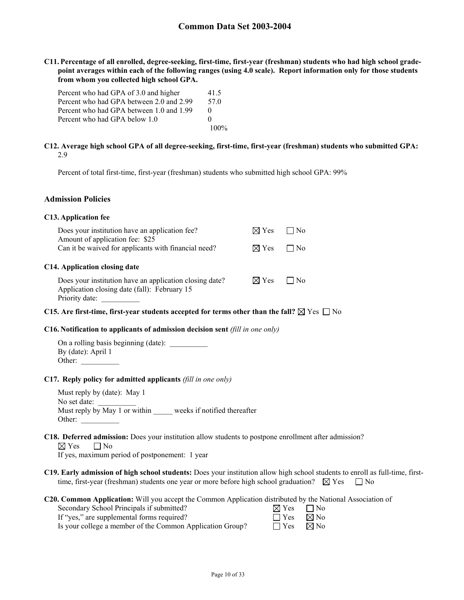**C11. Percentage of all enrolled, degree-seeking, first-time, first-year (freshman) students who had high school gradepoint averages within each of the following ranges (using 4.0 scale). Report information only for those students from whom you collected high school GPA.** 

| Percent who had GPA of 3.0 and higher    | 41.5       |
|------------------------------------------|------------|
| Percent who had GPA between 2.0 and 2.99 | 570        |
| Percent who had GPA between 1.0 and 1.99 | $^{\circ}$ |
| Percent who had GPA below 1.0            | $^{(1)}$   |
|                                          | $100\%$    |

#### **C12. Average high school GPA of all degree-seeking, first-time, first-year (freshman) students who submitted GPA:** 2.9

Percent of total first-time, first-year (freshman) students who submitted high school GPA: 99%

#### **Admission Policies**

#### **C13. Application fee**

| Does your institution have an application fee?<br>Amount of application fee: \$25                       | $\boxtimes$ Yes | $\Box$ No                     |  |
|---------------------------------------------------------------------------------------------------------|-----------------|-------------------------------|--|
| Can it be waived for applicants with financial need?                                                    | $\boxtimes$ Yes | $\overline{\phantom{a}}$   No |  |
| C14. Application closing date                                                                           |                 |                               |  |
| Does your institution have an application closing date?<br>Application closing date (fall): February 15 | $\boxtimes$ Yes | $1 N_0$                       |  |
| Priority date:                                                                                          |                 |                               |  |

#### **C15.** Are first-time, first-year students accepted for terms other than the fall?  $\boxtimes$  Yes  $\Box$  No

#### **C16. Notification to applicants of admission decision sent** *(fill in one only)*

On a rolling basis beginning (date): By (date): April 1 Other:

#### **C17. Reply policy for admitted applicants** *(fill in one only)*

Must reply by (date): May 1 No set date: Must reply by May 1 or within weeks if notified thereafter Other:

# **C18. Deferred admission:** Does your institution allow students to postpone enrollment after admission?

 $\boxtimes$  Yes  $\Box$  No

If yes, maximum period of postponement: 1 year

**C19. Early admission of high school students:** Does your institution allow high school students to enroll as full-time, firsttime, first-year (freshman) students one year or more before high school graduation?  $\boxtimes$  Yes  $\Box$  No

| C20. Common Application: Will you accept the Common Application distributed by the National Association of |  |  |  |  |
|------------------------------------------------------------------------------------------------------------|--|--|--|--|
|------------------------------------------------------------------------------------------------------------|--|--|--|--|

| Secondary School Principals if submitted?                 | $\boxtimes$ Yes | $\Box$ No      |
|-----------------------------------------------------------|-----------------|----------------|
| If "yes," are supplemental forms required?                | $\Box$ Yes      | $\boxtimes$ No |
| Is your college a member of the Common Application Group? | $\Box$ Yes      | ⊠ No           |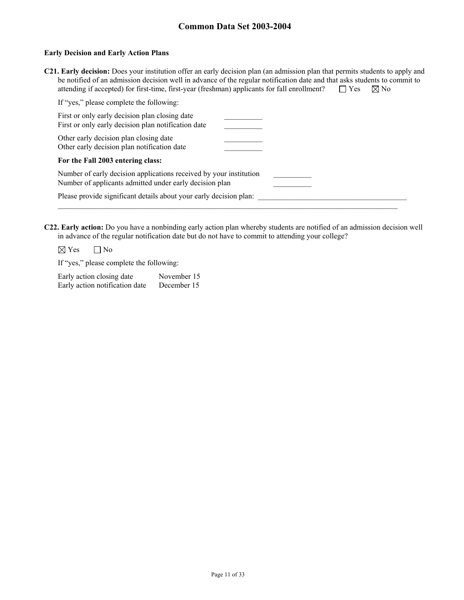#### **Early Decision and Early Action Plans**

| C21. Early decision: Does your institution offer an early decision plan (an admission plan that permits students to apply and |                           |  |
|-------------------------------------------------------------------------------------------------------------------------------|---------------------------|--|
| be notified of an admission decision well in advance of the regular notification date and that asks students to commit to     |                           |  |
| attending if accepted) for first-time, first-year (freshman) applicants for fall enrollment?                                  | $\Box$ Yes $\boxtimes$ No |  |

| If "yes," please complete the following:                                                                                      |  |
|-------------------------------------------------------------------------------------------------------------------------------|--|
| First or only early decision plan closing date<br>First or only early decision plan notification date                         |  |
| Other early decision plan closing date<br>Other early decision plan notification date                                         |  |
| For the Fall 2003 entering class:                                                                                             |  |
| Number of early decision applications received by your institution<br>Number of applicants admitted under early decision plan |  |
| Please provide significant details about your early decision plan:                                                            |  |

**C22. Early action:** Do you have a nonbinding early action plan whereby students are notified of an admission decision well in advance of the regular notification date but do not have to commit to attending your college?

 $\boxtimes$  Yes  $\Box$  No

If "yes," please complete the following:

| Early action closing date      | November 15 |
|--------------------------------|-------------|
| Early action notification date | December 15 |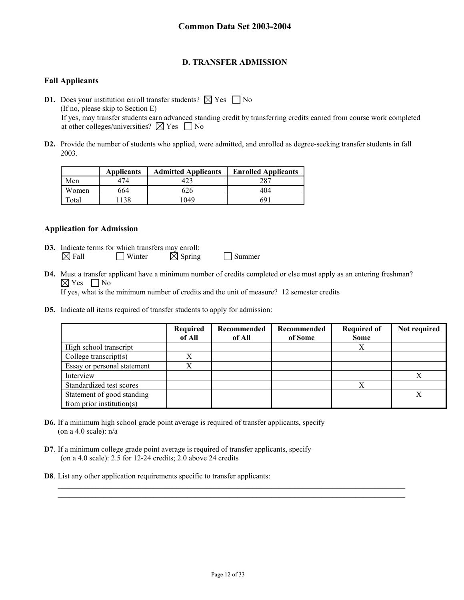# **D. TRANSFER ADMISSION**

## **Fall Applicants**

**D1.** Does your institution enroll transfer students?  $\boxtimes$  Yes  $\Box$  No (If no, please skip to Section E) If yes, may transfer students earn advanced standing credit by transferring credits earned from course work completed at other colleges/universities?  $\boxtimes$  Yes  $\Box$  No

**D2.** Provide the number of students who applied, were admitted, and enrolled as degree-seeking transfer students in fall 2003.

|       | <b>Applicants</b> | <b>Admitted Applicants</b> | <b>Enrolled Applicants</b> |
|-------|-------------------|----------------------------|----------------------------|
| Men   | 474               |                            | 287                        |
| Women | 664               | 626                        | 404                        |
| Total | 138               | 1049                       | 691                        |

#### **Application for Admission**

- **D3.** Indicate terms for which transfers may enroll:  $\boxtimes$  Fall Winter  $\boxtimes$  Spring Summer
- **D4.** Must a transfer applicant have a minimum number of credits completed or else must apply as an entering freshman?  $\boxtimes$  Yes  $\Box$  No

If yes, what is the minimum number of credits and the unit of measure? 12 semester credits

**D5.** Indicate all items required of transfer students to apply for admission:

|                                                             | Required<br>of All | Recommended<br>of All | Recommended<br>of Some | <b>Required of</b><br><b>Some</b> | Not required |
|-------------------------------------------------------------|--------------------|-----------------------|------------------------|-----------------------------------|--------------|
| High school transcript                                      |                    |                       |                        | Х                                 |              |
| College transcript $(s)$                                    | X                  |                       |                        |                                   |              |
| Essay or personal statement                                 | Х                  |                       |                        |                                   |              |
| Interview                                                   |                    |                       |                        |                                   |              |
| Standardized test scores                                    |                    |                       |                        | Χ                                 |              |
| Statement of good standing<br>from prior institution( $s$ ) |                    |                       |                        |                                   |              |

- **D6.** If a minimum high school grade point average is required of transfer applicants, specify (on a 4.0 scale):  $n/a$
- **D7**. If a minimum college grade point average is required of transfer applicants, specify (on a 4.0 scale): 2.5 for 12-24 credits; 2.0 above 24 credits
- **D8**. List any other application requirements specific to transfer applicants:

 $\mathcal{L}_\mathcal{L} = \mathcal{L}_\mathcal{L}$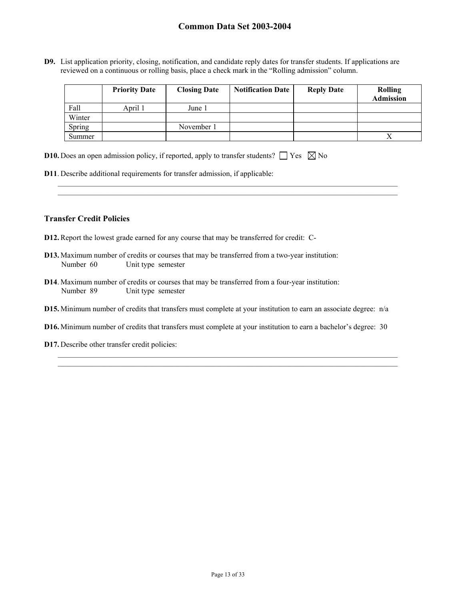**D9.** List application priority, closing, notification, and candidate reply dates for transfer students. If applications are reviewed on a continuous or rolling basis, place a check mark in the "Rolling admission" column.

|        | <b>Priority Date</b> | <b>Closing Date</b> | <b>Notification Date</b> | <b>Reply Date</b> | <b>Rolling</b><br><b>Admission</b> |
|--------|----------------------|---------------------|--------------------------|-------------------|------------------------------------|
| Fall   | April 1              | June 1              |                          |                   |                                    |
| Winter |                      |                     |                          |                   |                                    |
| Spring |                      | November 1          |                          |                   |                                    |
| Summer |                      |                     |                          |                   | 77<br>$\Lambda$                    |

 $\_$  , and the state of the state of the state of the state of the state of the state of the state of the state of the state of the state of the state of the state of the state of the state of the state of the state of the

|  |  |  |  |  | <b>D10.</b> Does an open admission policy, if reported, apply to transfer students? $\Box$ Yes $\boxtimes$ No |  |  |  |
|--|--|--|--|--|---------------------------------------------------------------------------------------------------------------|--|--|--|
|--|--|--|--|--|---------------------------------------------------------------------------------------------------------------|--|--|--|

**D11**. Describe additional requirements for transfer admission, if applicable:

#### **Transfer Credit Policies**

- **D12.** Report the lowest grade earned for any course that may be transferred for credit: C-
- **D13.** Maximum number of credits or courses that may be transferred from a two-year institution: Number 60 Unit type semester
- **D14**. Maximum number of credits or courses that may be transferred from a four-year institution: Number 89 Unit type semester
- **D15.** Minimum number of credits that transfers must complete at your institution to earn an associate degree: n/a
- **D16.** Minimum number of credits that transfers must complete at your institution to earn a bachelor's degree: 30

 $\_$  , and the state of the state of the state of the state of the state of the state of the state of the state of the state of the state of the state of the state of the state of the state of the state of the state of the

**D17.** Describe other transfer credit policies: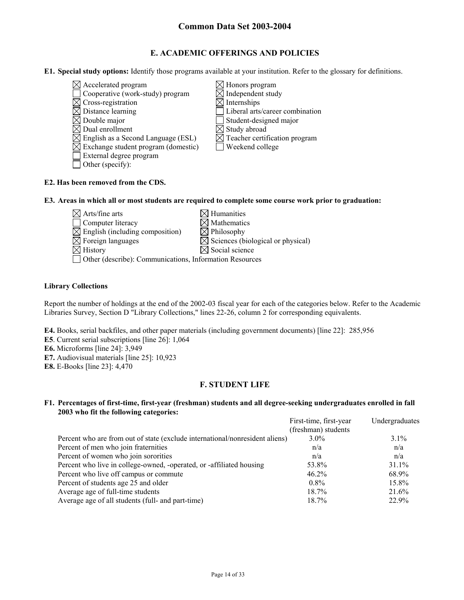# **E. ACADEMIC OFFERINGS AND POLICIES**

**E1. Special study options:** Identify those programs available at your institution. Refer to the glossary for definitions.

- $\boxtimes$  Accelerated program  $\boxtimes$  Honors program
- $\Box$  Cooperative (work-study) program  $\boxtimes$  Independent study
- $\boxtimes$  Cross-registration  $\boxtimes$  Internships
- $\boxtimes$  Distance learning  $\Box$  Liberal arts/career combination
- $\boxtimes$  Double major  $\Box$  Student-designed major
- 
- $\boxtimes$  Dual enrollment<br>  $\boxtimes$  English as a Second Language (ESL)  $\boxtimes$  Teacher certification program  $\boxtimes$  English as a Second Language (ESL)
- $\boxtimes$  Exchange student program (domestic)  $\Box$  Weekend college
- External degree program
- □ Other (specify):
- 
- 
- 
- 
- 
- 

#### **E2. Has been removed from the CDS.**

**E3. Areas in which all or most students are required to complete some course work prior to graduation:** 

- $\boxtimes$  Arts/fine arts  $\boxtimes$  Humanities  $\Box$  Computer literacy  $\boxtimes$  Mathematics  $\boxtimes$  English (including composition)  $\boxtimes$  Philosophy  $\boxtimes$  Foreign languages  $\boxtimes$  Sciences (biological or physical)
	-

- $\boxtimes$  History  $\boxtimes$  Social science
- Other (describe): Communications, Information Resources

#### **Library Collections**

Report the number of holdings at the end of the 2002-03 fiscal year for each of the categories below. Refer to the Academic Libraries Survey, Section D "Library Collections," lines 22-26, column 2 for corresponding equivalents.

**E4.** Books, serial backfiles, and other paper materials (including government documents) [line 22]: 285,956

- **E5**. Current serial subscriptions [line 26]: 1,064
- **E6.** Microforms [line 24]: 3,949
- **E7.** Audiovisual materials [line 25]: 10,923
- **E8.** E-Books [line 23]: 4,470

#### **F. STUDENT LIFE**

#### **F1. Percentages of first-time, first-year (freshman) students and all degree-seeking undergraduates enrolled in fall 2003 who fit the following categories:**

|                                                                              | First-time, first-year | Undergraduates |
|------------------------------------------------------------------------------|------------------------|----------------|
|                                                                              | (freshman) students    |                |
| Percent who are from out of state (exclude international/nonresident aliens) | $3.0\%$                | $3.1\%$        |
| Percent of men who join fraternities                                         | n/a                    | n/a            |
| Percent of women who join sororities                                         | n/a                    | n/a            |
| Percent who live in college-owned, -operated, or -affiliated housing         | 53.8%                  | $31.1\%$       |
| Percent who live off campus or commute                                       | $46.2\%$               | 68.9%          |
| Percent of students age 25 and older                                         | $0.8\%$                | 15.8%          |
| Average age of full-time students                                            | $18.7\%$               | 21.6%          |
| Average age of all students (full- and part-time)                            | $18.7\%$               | 22.9%          |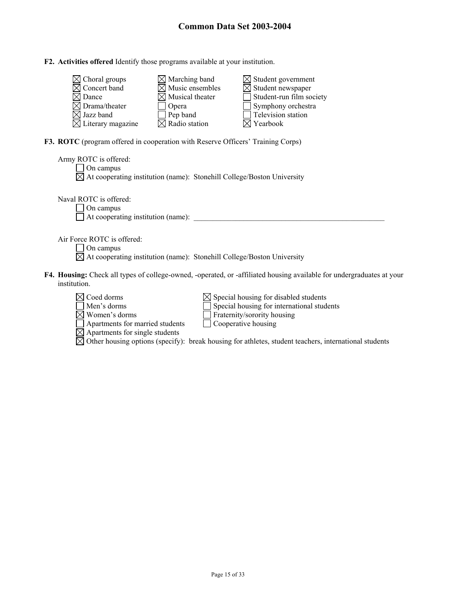#### **F2. Activities offered** Identify those programs available at your institution.

| $\boxtimes$ Choral groups     | $\boxtimes$ Marching band   | $\boxtimes$ Student government |
|-------------------------------|-----------------------------|--------------------------------|
| $\boxtimes$ Concert band      | $\boxtimes$ Music ensembles | $\boxtimes$ Student newspaper  |
| $\boxtimes$ Dance             | $\boxtimes$ Musical theater | Student-run film society       |
| $\boxtimes$ Drama/theater     | <b>Opera</b>                | $\Box$ Symphony orchestra      |
| $\boxtimes$ Jazz band         | Pep band                    | Television station             |
| $\boxtimes$ Literary magazine | $\boxtimes$ Radio station   | $\boxtimes$ Yearbook           |

**F3. ROTC** (program offered in cooperation with Reserve Officers' Training Corps)

| Army ROTC is offered:<br>On campus<br>$\boxtimes$ At cooperating institution (name): Stonehill College/Boston University                                                                 |
|------------------------------------------------------------------------------------------------------------------------------------------------------------------------------------------|
| Naval ROTC is offered:<br>On campus<br>At cooperating institution (name):                                                                                                                |
| Air Force ROTC is offered:<br>On campus<br>$\boxtimes$ At cooperating institution (name): Stonehill College/Boston University                                                            |
| <b>F4. Housing:</b> Check all types of college-owned, -operated, or -affiliated housing available for undergraduates at your<br>institution.                                             |
| $\boxtimes$ Coed dorms<br>$\boxtimes$ Special housing for disabled students<br>Special housing for international students<br>Men's dorms<br>Women's dorms<br>Fraternity/sorority housing |

| Apartments for married students | $\Box$ Cooperative housing |  |
|---------------------------------|----------------------------|--|

Apartments for single students

Other housing options (specify): break housing for athletes, student teachers, international students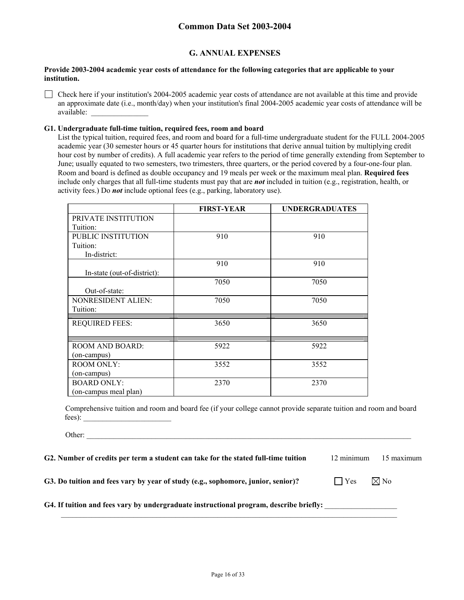#### **G. ANNUAL EXPENSES**

#### **Provide 2003-2004 academic year costs of attendance for the following categories that are applicable to your institution.**

Check here if your institution's 2004-2005 academic year costs of attendance are not available at this time and provide an approximate date (i.e., month/day) when your institution's final 2004-2005 academic year costs of attendance will be available: \_\_\_\_\_\_\_\_\_\_\_\_\_\_\_

#### **G1. Undergraduate full-time tuition, required fees, room and board**

List the typical tuition, required fees, and room and board for a full-time undergraduate student for the FULL 2004-2005 academic year (30 semester hours or 45 quarter hours for institutions that derive annual tuition by multiplying credit hour cost by number of credits). A full academic year refers to the period of time generally extending from September to June; usually equated to two semesters, two trimesters, three quarters, or the period covered by a four-one-four plan. Room and board is defined as double occupancy and 19 meals per week or the maximum meal plan. **Required fees** include only charges that all full-time students must pay that are *not* included in tuition (e.g., registration, health, or activity fees.) Do *not* include optional fees (e.g., parking, laboratory use).

|                             | <b>FIRST-YEAR</b> | <b>UNDERGRADUATES</b> |
|-----------------------------|-------------------|-----------------------|
| PRIVATE INSTITUTION         |                   |                       |
| Tuition:                    |                   |                       |
| PUBLIC INSTITUTION          | 910               | 910                   |
| Tuition:                    |                   |                       |
| In-district:                |                   |                       |
|                             | 910               | 910                   |
| In-state (out-of-district): |                   |                       |
|                             | 7050              | 7050                  |
| Out-of-state:               |                   |                       |
| <b>NONRESIDENT ALIEN:</b>   | 7050              | 7050                  |
| Tuition:                    |                   |                       |
| <b>REQUIRED FEES:</b>       | 3650              | 3650                  |
|                             |                   |                       |
|                             |                   |                       |
| <b>ROOM AND BOARD:</b>      | 5922              | 5922                  |
| (on-campus)                 |                   |                       |
| <b>ROOM ONLY:</b>           | 3552              | 3552                  |
| (on-campus)                 |                   |                       |
| <b>BOARD ONLY:</b>          | 2370              | 2370                  |
| (on-campus meal plan)       |                   |                       |

Comprehensive tuition and room and board fee (if your college cannot provide separate tuition and room and board fees): \_\_\_\_\_\_\_\_\_\_\_\_\_\_\_\_\_\_\_\_\_\_\_

Other:

**G2. Number of credits per term a student can take for the stated full-time tuition** 12 minimum 15 maximum

**G3. Do tuition and fees vary by year of study (e.g., sophomore, junior, senior)?**  $\Box$  Yes  $\Box$  Yo

#### G4. If tuition and fees vary by undergraduate instructional program, describe briefly:

 $\mathcal{L}_\mathcal{L} = \mathcal{L}_\mathcal{L}$  , where  $\mathcal{L}_\mathcal{L} = \mathcal{L}_\mathcal{L}$  , where  $\mathcal{L}_\mathcal{L} = \mathcal{L}_\mathcal{L}$  , where  $\mathcal{L}_\mathcal{L} = \mathcal{L}_\mathcal{L}$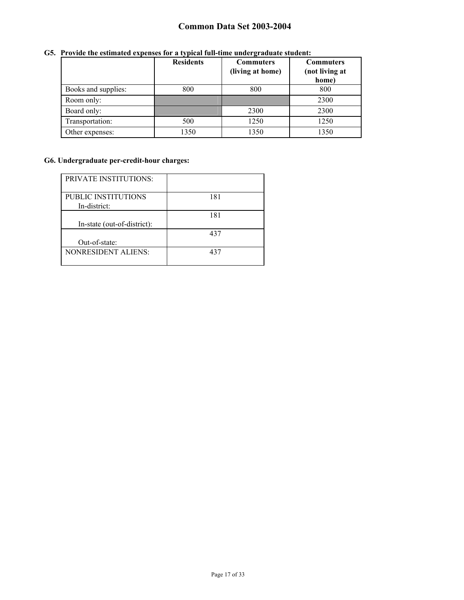|                     | <b>Residents</b> | <b>Commuters</b><br>(living at home) | <b>Commuters</b><br>(not living at<br>home) |
|---------------------|------------------|--------------------------------------|---------------------------------------------|
| Books and supplies: | 800              | 800                                  | 800                                         |
| Room only:          |                  |                                      | 2300                                        |
| Board only:         |                  | 2300                                 | 2300                                        |
| Transportation:     | 500              | 1250                                 | 1250                                        |
| Other expenses:     | 1350             | 1350                                 | 1350                                        |

# **G5. Provide the estimated expenses for a typical full-time undergraduate student:**

# **G6. Undergraduate per-credit-hour charges:**

| <b>PRIVATE INSTITUTIONS:</b> |     |
|------------------------------|-----|
|                              |     |
| <b>PUBLIC INSTITUTIONS</b>   | 181 |
| In-district:                 |     |
|                              | 181 |
| In-state (out-of-district):  |     |
|                              | 437 |
| Out-of-state:                |     |
| <b>NONRESIDENT ALIENS:</b>   | 437 |
|                              |     |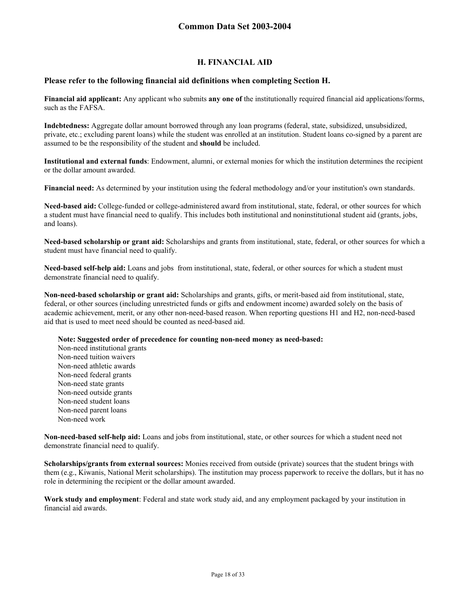# **H. FINANCIAL AID**

#### **Please refer to the following financial aid definitions when completing Section H.**

**Financial aid applicant:** Any applicant who submits **any one of** the institutionally required financial aid applications/forms, such as the FAFSA.

**Indebtedness:** Aggregate dollar amount borrowed through any loan programs (federal, state, subsidized, unsubsidized, private, etc.; excluding parent loans) while the student was enrolled at an institution. Student loans co-signed by a parent are assumed to be the responsibility of the student and **should** be included.

**Institutional and external funds**: Endowment, alumni, or external monies for which the institution determines the recipient or the dollar amount awarded.

**Financial need:** As determined by your institution using the federal methodology and/or your institution's own standards.

**Need-based aid:** College-funded or college-administered award from institutional, state, federal, or other sources for which a student must have financial need to qualify. This includes both institutional and noninstitutional student aid (grants, jobs, and loans).

**Need-based scholarship or grant aid:** Scholarships and grants from institutional, state, federal, or other sources for which a student must have financial need to qualify.

**Need-based self-help aid:** Loans and jobs from institutional, state, federal, or other sources for which a student must demonstrate financial need to qualify.

**Non-need-based scholarship or grant aid:** Scholarships and grants, gifts, or merit-based aid from institutional, state, federal, or other sources (including unrestricted funds or gifts and endowment income) awarded solely on the basis of academic achievement, merit, or any other non-need-based reason. When reporting questions H1 and H2, non-need-based aid that is used to meet need should be counted as need-based aid.

**Note: Suggested order of precedence for counting non-need money as need-based:** 

Non-need institutional grants Non-need tuition waivers Non-need athletic awards Non-need federal grants Non-need state grants Non-need outside grants Non-need student loans Non-need parent loans Non-need work

**Non-need-based self-help aid:** Loans and jobs from institutional, state, or other sources for which a student need not demonstrate financial need to qualify.

**Scholarships/grants from external sources:** Monies received from outside (private) sources that the student brings with them (e.g., Kiwanis, National Merit scholarships). The institution may process paperwork to receive the dollars, but it has no role in determining the recipient or the dollar amount awarded.

**Work study and employment**: Federal and state work study aid, and any employment packaged by your institution in financial aid awards.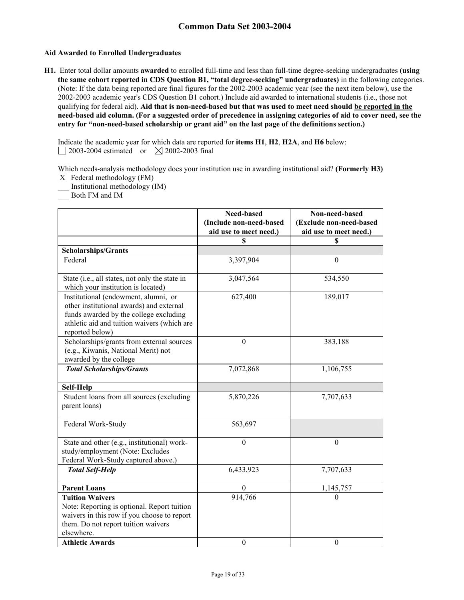#### **Aid Awarded to Enrolled Undergraduates**

**H1.** Enter total dollar amounts **awarded** to enrolled full-time and less than full-time degree-seeking undergraduates **(using the same cohort reported in CDS Question B1, "total degree-seeking" undergraduates)** in the following categories. (Note: If the data being reported are final figures for the 2002-2003 academic year (see the next item below), use the 2002-2003 academic year's CDS Question B1 cohort.) Include aid awarded to international students (i.e., those not qualifying for federal aid). **Aid that is non-need-based but that was used to meet need should be reported in the need-based aid column. (For a suggested order of precedence in assigning categories of aid to cover need, see the entry for "non-need-based scholarship or grant aid" on the last page of the definitions section.)** 

Indicate the academic year for which data are reported for **items H1**, **H2**, **H2A**, and **H6** below:  $\Box$  2003-2004 estimated or  $\boxtimes$  2002-2003 final

Which needs-analysis methodology does your institution use in awarding institutional aid? **(Formerly H3)**  X Federal methodology (FM)

\_\_\_ Institutional methodology (IM)

\_\_\_ Both FM and IM

|                                                                                                                                                                                              | Need-based<br>(Include non-need-based<br>aid use to meet need.) | Non-need-based<br>(Exclude non-need-based<br>aid use to meet need.) |
|----------------------------------------------------------------------------------------------------------------------------------------------------------------------------------------------|-----------------------------------------------------------------|---------------------------------------------------------------------|
|                                                                                                                                                                                              | $\mathbf S$                                                     | \$                                                                  |
| <b>Scholarships/Grants</b>                                                                                                                                                                   |                                                                 |                                                                     |
| Federal                                                                                                                                                                                      | 3,397,904                                                       | $\theta$                                                            |
| State (i.e., all states, not only the state in<br>which your institution is located)                                                                                                         | 3,047,564                                                       | 534,550                                                             |
| Institutional (endowment, alumni, or<br>other institutional awards) and external<br>funds awarded by the college excluding<br>athletic aid and tuition waivers (which are<br>reported below) | 627,400                                                         | 189,017                                                             |
| Scholarships/grants from external sources<br>(e.g., Kiwanis, National Merit) not<br>awarded by the college                                                                                   | $\mathbf{0}$                                                    | 383,188                                                             |
| <b>Total Scholarships/Grants</b>                                                                                                                                                             | 7,072,868                                                       | 1,106,755                                                           |
| Self-Help                                                                                                                                                                                    |                                                                 |                                                                     |
| Student loans from all sources (excluding<br>parent loans)                                                                                                                                   | 5,870,226                                                       | 7,707,633                                                           |
| Federal Work-Study                                                                                                                                                                           | 563,697                                                         |                                                                     |
| State and other (e.g., institutional) work-<br>study/employment (Note: Excludes<br>Federal Work-Study captured above.)                                                                       | $\overline{0}$                                                  | $\mathbf{0}$                                                        |
| <b>Total Self-Help</b>                                                                                                                                                                       | 6,433,923                                                       | 7,707,633                                                           |
| <b>Parent Loans</b>                                                                                                                                                                          | $\theta$                                                        | 1,145,757                                                           |
| <b>Tuition Waivers</b><br>Note: Reporting is optional. Report tuition<br>waivers in this row if you choose to report<br>them. Do not report tuition waivers<br>elsewhere.                    | 914,766                                                         | $\theta$                                                            |
| <b>Athletic Awards</b>                                                                                                                                                                       | $\bf{0}$                                                        | $\bf{0}$                                                            |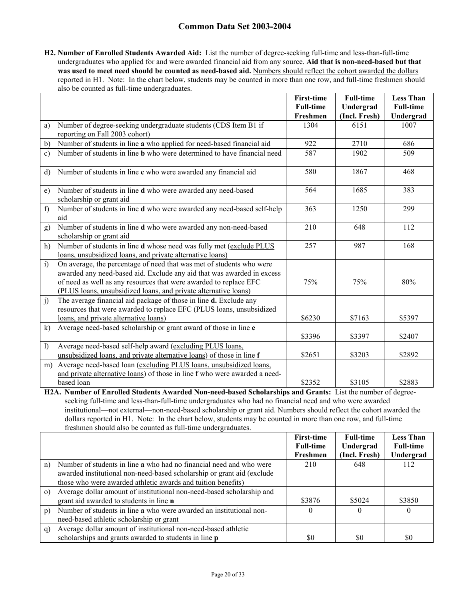**H2. Number of Enrolled Students Awarded Aid:** List the number of degree-seeking full-time and less-than-full-time undergraduates who applied for and were awarded financial aid from any source. **Aid that is non-need-based but that**  was used to meet need should be counted as need-based aid. Numbers should reflect the cohort awarded the dollars reported in H1. Note: In the chart below, students may be counted in more than one row, and full-time freshmen should also be counted as full-time undergraduates.

|              |                                                                                                                                                                                                                                                                                        | <b>First-time</b><br><b>Full-time</b> | <b>Full-time</b><br>Undergrad | <b>Less Than</b><br><b>Full-time</b> |
|--------------|----------------------------------------------------------------------------------------------------------------------------------------------------------------------------------------------------------------------------------------------------------------------------------------|---------------------------------------|-------------------------------|--------------------------------------|
|              |                                                                                                                                                                                                                                                                                        | Freshmen                              | (Incl. Fresh)                 | Undergrad                            |
| a)           | Number of degree-seeking undergraduate students (CDS Item B1 if<br>reporting on Fall 2003 cohort)                                                                                                                                                                                      | 1304                                  | 6151                          | 1007                                 |
| b)           | Number of students in line a who applied for need-based financial aid                                                                                                                                                                                                                  | 922                                   | 2710                          | 686                                  |
| $\mathbf{c}$ | Number of students in line <b>b</b> who were determined to have financial need                                                                                                                                                                                                         | 587                                   | 1902                          | 509                                  |
| $\mathbf{d}$ | Number of students in line c who were awarded any financial aid                                                                                                                                                                                                                        | 580                                   | 1867                          | 468                                  |
| e)           | Number of students in line d who were awarded any need-based<br>scholarship or grant aid                                                                                                                                                                                               | 564                                   | 1685                          | 383                                  |
| f            | Number of students in line d who were awarded any need-based self-help<br>aid                                                                                                                                                                                                          | 363                                   | 1250                          | 299                                  |
| g)           | Number of students in line d who were awarded any non-need-based<br>scholarship or grant aid                                                                                                                                                                                           | 210                                   | 648                           | 112                                  |
| h)           | Number of students in line d whose need was fully met (exclude PLUS<br>loans, unsubsidized loans, and private alternative loans)                                                                                                                                                       | 257                                   | 987                           | 168                                  |
| i)           | On average, the percentage of need that was met of students who were<br>awarded any need-based aid. Exclude any aid that was awarded in excess<br>of need as well as any resources that were awarded to replace EFC<br>(PLUS loans, unsubsidized loans, and private alternative loans) | 75%                                   | 75%                           | 80%                                  |
| j)           | The average financial aid package of those in line <b>d.</b> Exclude any<br>resources that were awarded to replace EFC (PLUS loans, unsubsidized<br>loans, and private alternative loans)                                                                                              | \$6230                                | \$7163                        | \$5397                               |
| $\bf k$      | Average need-based scholarship or grant award of those in line e                                                                                                                                                                                                                       | \$3396                                | \$3397                        | \$2407                               |
| $\mathbf{I}$ | Average need-based self-help award (excluding PLUS loans,<br>unsubsidized loans, and private alternative loans) of those in line f                                                                                                                                                     | \$2651                                | \$3203                        | \$2892                               |
| m)           | Average need-based loan (excluding PLUS loans, unsubsidized loans,<br>and private alternative loans) of those in line f who were awarded a need-<br>based loan                                                                                                                         | \$2352                                | \$3105                        | \$2883                               |

**H2A. Number of Enrolled Students Awarded Non-need-based Scholarships and Grants:** List the number of degreeseeking full-time and less-than-full-time undergraduates who had no financial need and who were awarded institutional—not external—non-need-based scholarship or grant aid. Numbers should reflect the cohort awarded the dollars reported in H1. Note: In the chart below, students may be counted in more than one row, and full-time freshmen should also be counted as full-time undergraduates.

|          |                                                                                                                                                                                                               | <b>First-time</b><br><b>Full-time</b> | <b>Full-time</b><br>Undergrad | <b>Less Than</b><br><b>Full-time</b> |
|----------|---------------------------------------------------------------------------------------------------------------------------------------------------------------------------------------------------------------|---------------------------------------|-------------------------------|--------------------------------------|
|          |                                                                                                                                                                                                               | Freshmen                              | (Incl. Fresh)                 | Undergrad                            |
| n)       | Number of students in line a who had no financial need and who were<br>awarded institutional non-need-based scholarship or grant aid (exclude<br>those who were awarded athletic awards and tuition benefits) | 210                                   | 648                           | 112                                  |
| $\Omega$ | Average dollar amount of institutional non-need-based scholarship and<br>grant aid awarded to students in line n                                                                                              | \$3876                                | \$5024                        | \$3850                               |
| p)       | Number of students in line a who were awarded an institutional non-<br>need-based athletic scholarship or grant                                                                                               |                                       | $\Omega$                      | $\Omega$                             |
| q)       | Average dollar amount of institutional non-need-based athletic<br>scholarships and grants awarded to students in line <b>p</b>                                                                                | \$0                                   | \$0                           | \$0                                  |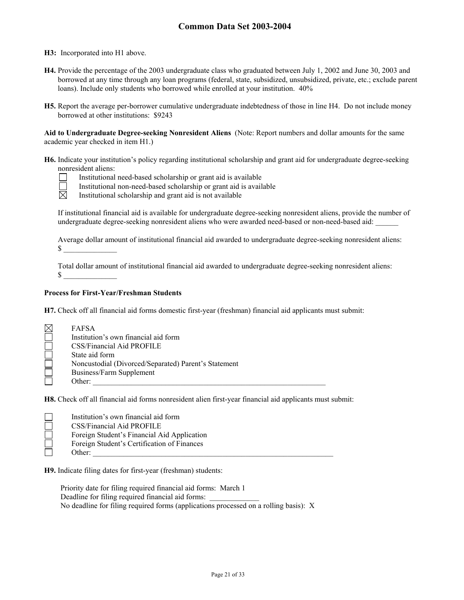**H3:** Incorporated into H1 above.

- **H4.** Provide the percentage of the 2003 undergraduate class who graduated between July 1, 2002 and June 30, 2003 and borrowed at any time through any loan programs (federal, state, subsidized, unsubsidized, private, etc.; exclude parent loans). Include only students who borrowed while enrolled at your institution. 40%
- **H5.** Report the average per-borrower cumulative undergraduate indebtedness of those in line H4. Do not include money borrowed at other institutions: \$9243

**Aid to Undergraduate Degree-seeking Nonresident Aliens** (Note: Report numbers and dollar amounts for the same academic year checked in item H1.)

**H6.** Indicate your institution's policy regarding institutional scholarship and grant aid for undergraduate degree-seeking nonresident aliens:



Institutional need-based scholarship or grant aid is available

Institutional non-need-based scholarship or grant aid is available

 $\overline{\boxtimes}$ Institutional scholarship and grant aid is not available

If institutional financial aid is available for undergraduate degree-seeking nonresident aliens, provide the number of undergraduate degree-seeking nonresident aliens who were awarded need-based or non-need-based aid: \_\_\_\_\_\_

Average dollar amount of institutional financial aid awarded to undergraduate degree-seeking nonresident aliens:  $S$   $\overline{\phantom{0}}$ 

Total dollar amount of institutional financial aid awarded to undergraduate degree-seeking nonresident aliens:  $\mathbb S$ 

#### **Process for First-Year/Freshman Students**

**H7.** Check off all financial aid forms domestic first-year (freshman) financial aid applicants must submit:

| $\boxtimes$ | FAFSA                                                |
|-------------|------------------------------------------------------|
|             | Institution's own financial aid form                 |
|             | CSS/Financial Aid PROFILE                            |
|             | State aid form                                       |
|             | Noncustodial (Divorced/Separated) Parent's Statement |
|             | Business/Farm Supplement                             |
|             | Other:                                               |

**H8.** Check off all financial aid forms nonresident alien first-year financial aid applicants must submit:

| Institution's own financial aid form        |
|---------------------------------------------|
| CSS/Financial Aid PROFILE                   |
| Foreign Student's Financial Aid Application |
| Foreign Student's Certification of Finances |
| Other:                                      |

**H9.** Indicate filing dates for first-year (freshman) students:

Priority date for filing required financial aid forms: March 1 Deadline for filing required financial aid forms: No deadline for filing required forms (applications processed on a rolling basis): X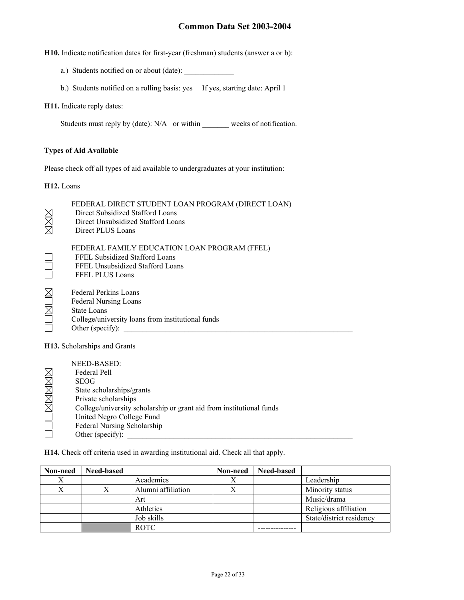**H10.** Indicate notification dates for first-year (freshman) students (answer a or b):

- a.) Students notified on or about (date): \_\_\_\_\_\_\_\_\_\_\_\_\_
- b.) Students notified on a rolling basis: yes If yes, starting date: April 1

**H11.** Indicate reply dates:

Students must reply by (date): N/A or within \_\_\_\_\_\_\_ weeks of notification.

#### **Types of Aid Available**

Please check off all types of aid available to undergraduates at your institution:

**H12.** Loans

|                              | FEDERAL DIRECT STUDENT LOAN PROGRAM (DIRECT LOAN)<br>Direct Subsidized Stafford Loans<br>Direct Unsubsidized Stafford Loans<br>Direct PLUS Loans     |  |  |
|------------------------------|------------------------------------------------------------------------------------------------------------------------------------------------------|--|--|
|                              | FEDERAL FAMILY EDUCATION LOAN PROGRAM (FFEL)<br>FFEL Subsidized Stafford Loans<br>FFEL Unsubsidized Stafford Loans<br><b>FFEL PLUS Loans</b>         |  |  |
|                              | <b>Federal Perkins Loans</b><br><b>Federal Nursing Loans</b><br>State Loans<br>College/university loans from institutional funds<br>Other (specify): |  |  |
| H13. Scholarships and Grants |                                                                                                                                                      |  |  |

| NEED-BASED:                                                          |
|----------------------------------------------------------------------|
| Federal Pell                                                         |
| <b>SEOG</b>                                                          |
| State scholarships/grants                                            |
| Private scholarships                                                 |
| College/university scholarship or grant aid from institutional funds |
| United Negro College Fund                                            |
| Federal Nursing Scholarship                                          |
| Other (specify):                                                     |

**H14.** Check off criteria used in awarding institutional aid. Check all that apply.

| Non-need | <b>Need-based</b> |                    | Non-need | <b>Need-based</b> |                          |  |
|----------|-------------------|--------------------|----------|-------------------|--------------------------|--|
| X        |                   | Academics          |          |                   | Leadership               |  |
|          |                   | Alumni affiliation |          |                   | Minority status          |  |
|          |                   | Art                |          |                   | Music/drama              |  |
|          |                   | Athletics          |          |                   | Religious affiliation    |  |
|          |                   | Job skills         |          |                   | State/district residency |  |
|          |                   | ROTC               |          |                   |                          |  |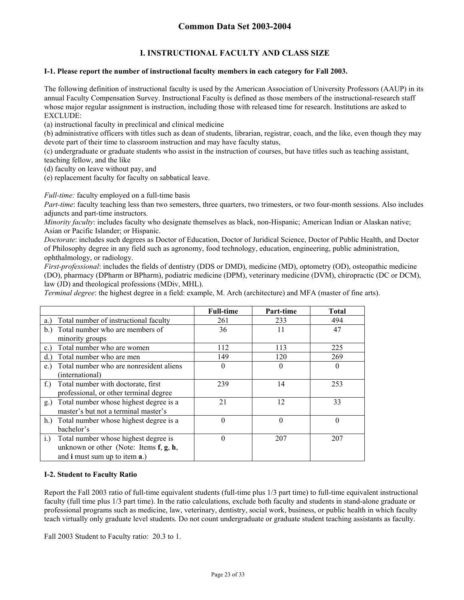# **I. INSTRUCTIONAL FACULTY AND CLASS SIZE**

#### **I-1. Please report the number of instructional faculty members in each category for Fall 2003.**

The following definition of instructional faculty is used by the American Association of University Professors (AAUP) in its annual Faculty Compensation Survey. Instructional Faculty is defined as those members of the instructional-research staff whose major regular assignment is instruction, including those with released time for research. Institutions are asked to EXCLUDE:

(a) instructional faculty in preclinical and clinical medicine

(b) administrative officers with titles such as dean of students, librarian, registrar, coach, and the like, even though they may devote part of their time to classroom instruction and may have faculty status,

(c) undergraduate or graduate students who assist in the instruction of courses, but have titles such as teaching assistant, teaching fellow, and the like

(d) faculty on leave without pay, and

(e) replacement faculty for faculty on sabbatical leave.

*Full-time:* faculty employed on a full-time basis

*Part-time*: faculty teaching less than two semesters, three quarters, two trimesters, or two four-month sessions. Also includes adjuncts and part-time instructors.

*Minority faculty*: includes faculty who designate themselves as black, non-Hispanic; American Indian or Alaskan native; Asian or Pacific Islander; or Hispanic.

*Doctorate*: includes such degrees as Doctor of Education, Doctor of Juridical Science, Doctor of Public Health, and Doctor of Philosophy degree in any field such as agronomy, food technology, education, engineering, public administration, ophthalmology, or radiology.

*First-professional*: includes the fields of dentistry (DDS or DMD), medicine (MD), optometry (OD), osteopathic medicine (DO), pharmacy (DPharm or BPharm), podiatric medicine (DPM), veterinary medicine (DVM), chiropractic (DC or DCM), law (JD) and theological professions (MDiv, MHL).

*Terminal degree*: the highest degree in a field: example, M. Arch (architecture) and MFA (master of fine arts).

|                                                       | <b>Full-time</b> | Part-time | <b>Total</b> |
|-------------------------------------------------------|------------------|-----------|--------------|
| Total number of instructional faculty<br>a.)          | 261              | 233       | 494          |
| Total number who are members of<br>b.                 | 36               | 11        | 47           |
| minority groups                                       |                  |           |              |
| Total number who are women<br>c.                      | 112              | 113       | 225          |
| Total number who are men<br>d.                        | 149              | 120       | 269          |
| Total number who are nonresident aliens<br>e.         | $\theta$         | 0         | $\theta$     |
| (international)                                       |                  |           |              |
| Total number with doctorate, first<br>$f_{\cdot}$ )   | 239              | 14        | 253          |
| professional, or other terminal degree                |                  |           |              |
| Total number whose highest degree is a<br>$g_{\cdot}$ | 21               | 12        | 33           |
| master's but not a terminal master's                  |                  |           |              |
| h.) Total number whose highest degree is a            | $\theta$         | $\theta$  | $\theta$     |
| bachelor's                                            |                  |           |              |
| Total number whose highest degree is<br>i.            | 0                | 207       | 207          |
| unknown or other (Note: Items $f, g, h$ ,             |                  |           |              |
| and i must sum up to item a.)                         |                  |           |              |

#### **I-2. Student to Faculty Ratio**

Report the Fall 2003 ratio of full-time equivalent students (full-time plus 1/3 part time) to full-time equivalent instructional faculty (full time plus 1/3 part time). In the ratio calculations, exclude both faculty and students in stand-alone graduate or professional programs such as medicine, law, veterinary, dentistry, social work, business, or public health in which faculty teach virtually only graduate level students. Do not count undergraduate or graduate student teaching assistants as faculty.

Fall 2003 Student to Faculty ratio: 20.3 to 1.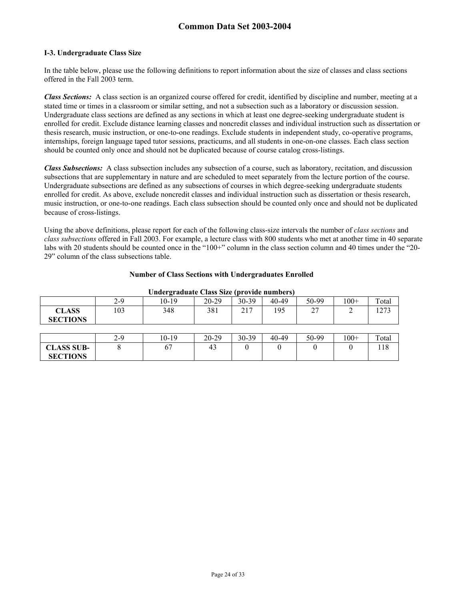#### **I-3. Undergraduate Class Size**

In the table below, please use the following definitions to report information about the size of classes and class sections offered in the Fall 2003 term.

*Class Sections:* A class section is an organized course offered for credit, identified by discipline and number, meeting at a stated time or times in a classroom or similar setting, and not a subsection such as a laboratory or discussion session. Undergraduate class sections are defined as any sections in which at least one degree-seeking undergraduate student is enrolled for credit. Exclude distance learning classes and noncredit classes and individual instruction such as dissertation or thesis research, music instruction, or one-to-one readings. Exclude students in independent study, co-operative programs, internships, foreign language taped tutor sessions, practicums, and all students in one-on-one classes. Each class section should be counted only once and should not be duplicated because of course catalog cross-listings.

*Class Subsections:* A class subsection includes any subsection of a course, such as laboratory, recitation, and discussion subsections that are supplementary in nature and are scheduled to meet separately from the lecture portion of the course. Undergraduate subsections are defined as any subsections of courses in which degree-seeking undergraduate students enrolled for credit. As above, exclude noncredit classes and individual instruction such as dissertation or thesis research, music instruction, or one-to-one readings. Each class subsection should be counted only once and should not be duplicated because of cross-listings.

Using the above definitions, please report for each of the following class-size intervals the number of *class sections* and *class subsections* offered in Fall 2003. For example, a lecture class with 800 students who met at another time in 40 separate labs with 20 students should be counted once in the "100+" column in the class section column and 40 times under the "20- 29" column of the class subsections table.

| <b>Number of Class Sections with Undergraduates Enrolled</b> |                                              |  |  |  |
|--------------------------------------------------------------|----------------------------------------------|--|--|--|
|                                                              |                                              |  |  |  |
|                                                              | Hadayaya dagta Class Sing (musulda musulman) |  |  |  |

|                   |     | Undergraduate Class Size (provide numbers) |         |       |           |       |        |       |
|-------------------|-----|--------------------------------------------|---------|-------|-----------|-------|--------|-------|
|                   | 2-9 | 10-19                                      | 20-29   | 30-39 | 40-49     | 50-99 | $100+$ | Total |
| <b>CLASS</b>      | 103 | 348                                        | 381     | 217   | 195       | 27    |        | 1273  |
| <b>SECTIONS</b>   |     |                                            |         |       |           |       |        |       |
|                   |     |                                            |         |       |           |       |        |       |
|                   | 2-9 | 10-19                                      | $20-29$ | 30-39 | $40 - 49$ | 50-99 | $100+$ | Total |
| <b>CLASS SUB-</b> |     | 67                                         | 43      |       |           |       |        | 118   |
| <b>SECTIONS</b>   |     |                                            |         |       |           |       |        |       |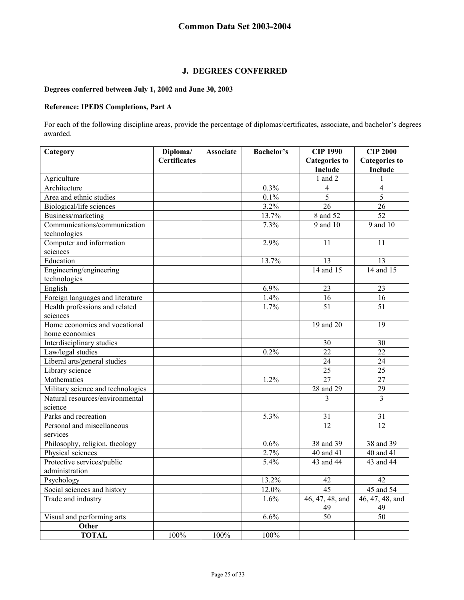# **J. DEGREES CONFERRED**

#### **Degrees conferred between July 1, 2002 and June 30, 2003**

#### **Reference: IPEDS Completions, Part A**

For each of the following discipline areas, provide the percentage of diplomas/certificates, associate, and bachelor's degrees awarded.

| Category                          | Diploma/            | <b>Associate</b> | <b>Bachelor's</b>  | <b>CIP 1990</b>      | <b>CIP 2000</b>      |
|-----------------------------------|---------------------|------------------|--------------------|----------------------|----------------------|
|                                   | <b>Certificates</b> |                  |                    | <b>Categories to</b> | <b>Categories to</b> |
|                                   |                     |                  |                    | Include              | Include              |
| Agriculture                       |                     |                  |                    | $1$ and $2$          | 1                    |
| Architecture                      |                     |                  | 0.3%               | $\overline{4}$       | $\overline{4}$       |
| Area and ethnic studies           |                     |                  | 0.1%               | $\overline{5}$       | $\overline{5}$       |
| Biological/life sciences          |                     |                  | 3.2%               | 26                   | 26                   |
| Business/marketing                |                     |                  | 13.7%              | 8 and 52             | $\overline{52}$      |
| Communications/communication      |                     |                  | $7.\overline{3\%}$ | 9 and 10             | 9 and 10             |
| technologies                      |                     |                  |                    |                      |                      |
| Computer and information          |                     |                  | 2.9%               | 11                   | 11                   |
| sciences                          |                     |                  |                    |                      |                      |
| Education                         |                     |                  | 13.7%              | 13                   | 13                   |
| Engineering/engineering           |                     |                  |                    | 14 and 15            | 14 and 15            |
| technologies                      |                     |                  |                    |                      |                      |
| English                           |                     |                  | 6.9%               | 23                   | 23                   |
| Foreign languages and literature  |                     |                  | 1.4%               | 16                   | 16                   |
| Health professions and related    |                     |                  | 1.7%               | 51                   | 51                   |
| sciences                          |                     |                  |                    |                      |                      |
| Home economics and vocational     |                     |                  |                    | 19 and 20            | 19                   |
| home economics                    |                     |                  |                    |                      |                      |
| Interdisciplinary studies         |                     |                  |                    | 30                   | 30                   |
| Law/legal studies                 |                     |                  | 0.2%               | 22                   | 22                   |
| Liberal arts/general studies      |                     |                  |                    | 24                   | 24                   |
| Library science                   |                     |                  |                    | 25                   | 25                   |
| Mathematics                       |                     |                  | 1.2%               | 27                   | 27                   |
| Military science and technologies |                     |                  |                    | $28$ and $29$        | 29                   |
| Natural resources/environmental   |                     |                  |                    | 3                    | $\overline{3}$       |
| science                           |                     |                  |                    |                      |                      |
| Parks and recreation              |                     |                  | 5.3%               | 31                   | 31                   |
| Personal and miscellaneous        |                     |                  |                    | $\overline{12}$      | $\overline{12}$      |
| services                          |                     |                  |                    |                      |                      |
| Philosophy, religion, theology    |                     |                  | 0.6%               | 38 and 39            | 38 and 39            |
| Physical sciences                 |                     |                  | 2.7%               | 40 and 41            | 40 and 41            |
| Protective services/public        |                     |                  | 5.4%               | 43 and 44            | 43 and 44            |
| administration                    |                     |                  |                    |                      |                      |
| Psychology                        |                     |                  | 13.2%              | 42                   | 42                   |
| Social sciences and history       |                     |                  | 12.0%              | 45                   | 45 and 54            |
| Trade and industry                |                     |                  | 1.6%               | 46, 47, 48, and      | 46, 47, 48, and      |
|                                   |                     |                  |                    | 49                   | 49                   |
| Visual and performing arts        |                     |                  | 6.6%               | 50                   | 50                   |
| Other                             |                     |                  |                    |                      |                      |
| <b>TOTAL</b>                      | 100%                | 100%             | 100%               |                      |                      |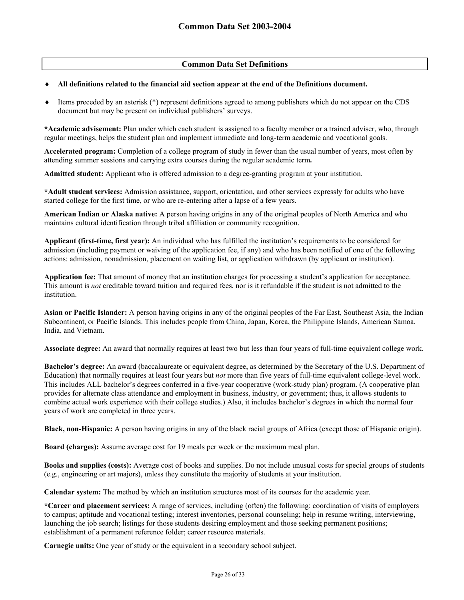#### **Common Data Set Definitions**

#### ♦ **All definitions related to the financial aid section appear at the end of the Definitions document.**

♦ Items preceded by an asterisk (\*) represent definitions agreed to among publishers which do not appear on the CDS document but may be present on individual publishers' surveys.

**\*Academic advisement:** Plan under which each student is assigned to a faculty member or a trained adviser, who, through regular meetings, helps the student plan and implement immediate and long-term academic and vocational goals.

**Accelerated program:** Completion of a college program of study in fewer than the usual number of years, most often by attending summer sessions and carrying extra courses during the regular academic term**.** 

**Admitted student:** Applicant who is offered admission to a degree-granting program at your institution.

**\*Adult student services:** Admission assistance, support, orientation, and other services expressly for adults who have started college for the first time, or who are re-entering after a lapse of a few years.

**American Indian or Alaska native:** A person having origins in any of the original peoples of North America and who maintains cultural identification through tribal affiliation or community recognition.

**Applicant (first-time, first year):** An individual who has fulfilled the institution's requirements to be considered for admission (including payment or waiving of the application fee, if any) and who has been notified of one of the following actions: admission, nonadmission, placement on waiting list, or application withdrawn (by applicant or institution).

**Application fee:** That amount of money that an institution charges for processing a student's application for acceptance. This amount is *not* creditable toward tuition and required fees, nor is it refundable if the student is not admitted to the institution.

**Asian or Pacific Islander:** A person having origins in any of the original peoples of the Far East, Southeast Asia, the Indian Subcontinent, or Pacific Islands. This includes people from China, Japan, Korea, the Philippine Islands, American Samoa, India, and Vietnam.

**Associate degree:** An award that normally requires at least two but less than four years of full-time equivalent college work.

**Bachelor's degree:** An award (baccalaureate or equivalent degree, as determined by the Secretary of the U.S. Department of Education) that normally requires at least four years but *not* more than five years of full-time equivalent college-level work. This includes ALL bachelor's degrees conferred in a five-year cooperative (work-study plan) program. (A cooperative plan provides for alternate class attendance and employment in business, industry, or government; thus, it allows students to combine actual work experience with their college studies.) Also, it includes bachelor's degrees in which the normal four years of work are completed in three years.

**Black, non-Hispanic:** A person having origins in any of the black racial groups of Africa (except those of Hispanic origin).

**Board (charges):** Assume average cost for 19 meals per week or the maximum meal plan.

**Books and supplies (costs):** Average cost of books and supplies. Do not include unusual costs for special groups of students (e.g., engineering or art majors), unless they constitute the majority of students at your institution.

**Calendar system:** The method by which an institution structures most of its courses for the academic year.

**\*Career and placement services:** A range of services, including (often) the following: coordination of visits of employers to campus; aptitude and vocational testing; interest inventories, personal counseling; help in resume writing, interviewing, launching the job search; listings for those students desiring employment and those seeking permanent positions; establishment of a permanent reference folder; career resource materials.

**Carnegie units:** One year of study or the equivalent in a secondary school subject.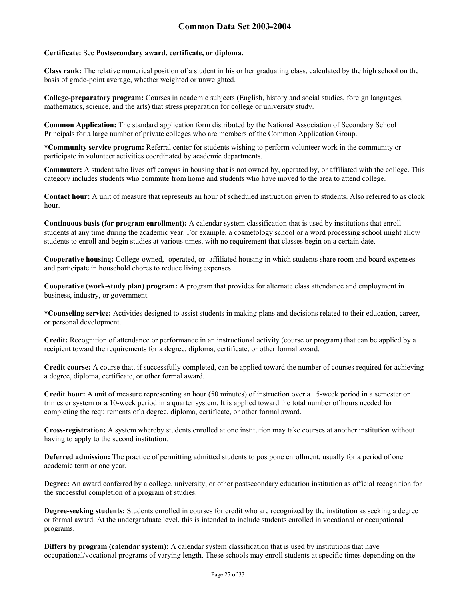#### **Certificate:** See **Postsecondary award, certificate, or diploma.**

**Class rank:** The relative numerical position of a student in his or her graduating class, calculated by the high school on the basis of grade-point average, whether weighted or unweighted.

**College-preparatory program:** Courses in academic subjects (English, history and social studies, foreign languages, mathematics, science, and the arts) that stress preparation for college or university study.

**Common Application:** The standard application form distributed by the National Association of Secondary School Principals for a large number of private colleges who are members of the Common Application Group.

**\*Community service program:** Referral center for students wishing to perform volunteer work in the community or participate in volunteer activities coordinated by academic departments.

**Commuter:** A student who lives off campus in housing that is not owned by, operated by, or affiliated with the college. This category includes students who commute from home and students who have moved to the area to attend college.

**Contact hour:** A unit of measure that represents an hour of scheduled instruction given to students. Also referred to as clock hour.

**Continuous basis (for program enrollment):** A calendar system classification that is used by institutions that enroll students at any time during the academic year. For example, a cosmetology school or a word processing school might allow students to enroll and begin studies at various times, with no requirement that classes begin on a certain date.

**Cooperative housing:** College-owned, -operated, or -affiliated housing in which students share room and board expenses and participate in household chores to reduce living expenses.

**Cooperative (work-study plan) program:** A program that provides for alternate class attendance and employment in business, industry, or government.

**\*Counseling service:** Activities designed to assist students in making plans and decisions related to their education, career, or personal development.

**Credit:** Recognition of attendance or performance in an instructional activity (course or program) that can be applied by a recipient toward the requirements for a degree, diploma, certificate, or other formal award.

**Credit course:** A course that, if successfully completed, can be applied toward the number of courses required for achieving a degree, diploma, certificate, or other formal award.

**Credit hour:** A unit of measure representing an hour (50 minutes) of instruction over a 15-week period in a semester or trimester system or a 10-week period in a quarter system. It is applied toward the total number of hours needed for completing the requirements of a degree, diploma, certificate, or other formal award.

**Cross-registration:** A system whereby students enrolled at one institution may take courses at another institution without having to apply to the second institution.

**Deferred admission:** The practice of permitting admitted students to postpone enrollment, usually for a period of one academic term or one year.

**Degree:** An award conferred by a college, university, or other postsecondary education institution as official recognition for the successful completion of a program of studies.

**Degree-seeking students:** Students enrolled in courses for credit who are recognized by the institution as seeking a degree or formal award. At the undergraduate level, this is intended to include students enrolled in vocational or occupational programs.

**Differs by program (calendar system):** A calendar system classification that is used by institutions that have occupational/vocational programs of varying length. These schools may enroll students at specific times depending on the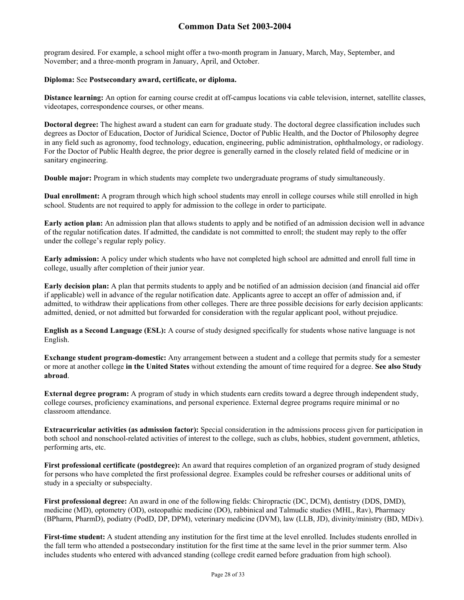program desired. For example, a school might offer a two-month program in January, March, May, September, and November; and a three-month program in January, April, and October.

#### **Diploma:** See **Postsecondary award, certificate, or diploma.**

**Distance learning:** An option for earning course credit at off-campus locations via cable television, internet, satellite classes, videotapes, correspondence courses, or other means.

**Doctoral degree:** The highest award a student can earn for graduate study. The doctoral degree classification includes such degrees as Doctor of Education, Doctor of Juridical Science, Doctor of Public Health, and the Doctor of Philosophy degree in any field such as agronomy, food technology, education, engineering, public administration, ophthalmology, or radiology. For the Doctor of Public Health degree, the prior degree is generally earned in the closely related field of medicine or in sanitary engineering.

**Double major:** Program in which students may complete two undergraduate programs of study simultaneously.

**Dual enrollment:** A program through which high school students may enroll in college courses while still enrolled in high school. Students are not required to apply for admission to the college in order to participate.

**Early action plan:** An admission plan that allows students to apply and be notified of an admission decision well in advance of the regular notification dates. If admitted, the candidate is not committed to enroll; the student may reply to the offer under the college's regular reply policy.

**Early admission:** A policy under which students who have not completed high school are admitted and enroll full time in college, usually after completion of their junior year.

**Early decision plan:** A plan that permits students to apply and be notified of an admission decision (and financial aid offer if applicable) well in advance of the regular notification date. Applicants agree to accept an offer of admission and, if admitted, to withdraw their applications from other colleges. There are three possible decisions for early decision applicants: admitted, denied, or not admitted but forwarded for consideration with the regular applicant pool, without prejudice.

**English as a Second Language (ESL):** A course of study designed specifically for students whose native language is not English.

**Exchange student program-domestic:** Any arrangement between a student and a college that permits study for a semester or more at another college **in the United States** without extending the amount of time required for a degree. **See also Study abroad**.

**External degree program:** A program of study in which students earn credits toward a degree through independent study, college courses, proficiency examinations, and personal experience. External degree programs require minimal or no classroom attendance.

**Extracurricular activities (as admission factor):** Special consideration in the admissions process given for participation in both school and nonschool-related activities of interest to the college, such as clubs, hobbies, student government, athletics, performing arts, etc.

**First professional certificate (postdegree):** An award that requires completion of an organized program of study designed for persons who have completed the first professional degree. Examples could be refresher courses or additional units of study in a specialty or subspecialty.

**First professional degree:** An award in one of the following fields: Chiropractic (DC, DCM), dentistry (DDS, DMD), medicine (MD), optometry (OD), osteopathic medicine (DO), rabbinical and Talmudic studies (MHL, Rav), Pharmacy (BPharm, PharmD), podiatry (PodD, DP, DPM), veterinary medicine (DVM), law (LLB, JD), divinity/ministry (BD, MDiv).

First-time student: A student attending any institution for the first time at the level enrolled. Includes students enrolled in the fall term who attended a postsecondary institution for the first time at the same level in the prior summer term. Also includes students who entered with advanced standing (college credit earned before graduation from high school).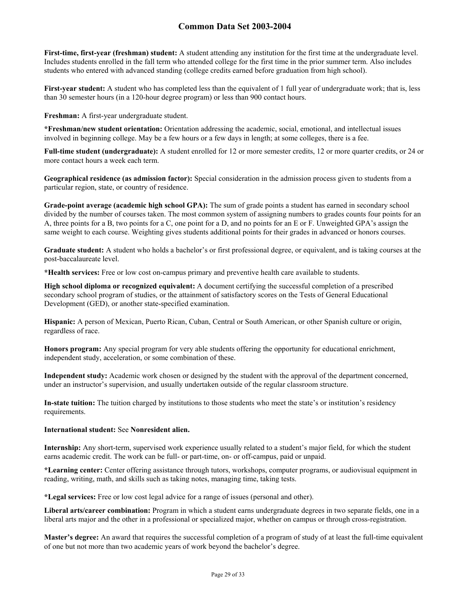**First-time, first-year (freshman) student:** A student attending any institution for the first time at the undergraduate level. Includes students enrolled in the fall term who attended college for the first time in the prior summer term. Also includes students who entered with advanced standing (college credits earned before graduation from high school).

**First-year student:** A student who has completed less than the equivalent of 1 full year of undergraduate work; that is, less than 30 semester hours (in a 120-hour degree program) or less than 900 contact hours.

**Freshman:** A first-year undergraduate student.

**\*Freshman/new student orientation:** Orientation addressing the academic, social, emotional, and intellectual issues involved in beginning college. May be a few hours or a few days in length; at some colleges, there is a fee.

**Full-time student (undergraduate):** A student enrolled for 12 or more semester credits, 12 or more quarter credits, or 24 or more contact hours a week each term.

**Geographical residence (as admission factor):** Special consideration in the admission process given to students from a particular region, state, or country of residence.

**Grade-point average (academic high school GPA):** The sum of grade points a student has earned in secondary school divided by the number of courses taken. The most common system of assigning numbers to grades counts four points for an A, three points for a B, two points for a C, one point for a D, and no points for an E or F. Unweighted GPA's assign the same weight to each course. Weighting gives students additional points for their grades in advanced or honors courses.

**Graduate student:** A student who holds a bachelor's or first professional degree, or equivalent, and is taking courses at the post-baccalaureate level.

**\*Health services:** Free or low cost on-campus primary and preventive health care available to students.

**High school diploma or recognized equivalent:** A document certifying the successful completion of a prescribed secondary school program of studies, or the attainment of satisfactory scores on the Tests of General Educational Development (GED), or another state-specified examination.

**Hispanic:** A person of Mexican, Puerto Rican, Cuban, Central or South American, or other Spanish culture or origin, regardless of race.

**Honors program:** Any special program for very able students offering the opportunity for educational enrichment, independent study, acceleration, or some combination of these.

**Independent study:** Academic work chosen or designed by the student with the approval of the department concerned, under an instructor's supervision, and usually undertaken outside of the regular classroom structure.

**In-state tuition:** The tuition charged by institutions to those students who meet the state's or institution's residency requirements.

#### **International student:** See **Nonresident alien.**

**Internship:** Any short-term, supervised work experience usually related to a student's major field, for which the student earns academic credit. The work can be full- or part-time, on- or off-campus, paid or unpaid.

**\*Learning center:** Center offering assistance through tutors, workshops, computer programs, or audiovisual equipment in reading, writing, math, and skills such as taking notes, managing time, taking tests.

**\*Legal services:** Free or low cost legal advice for a range of issues (personal and other).

**Liberal arts/career combination:** Program in which a student earns undergraduate degrees in two separate fields, one in a liberal arts major and the other in a professional or specialized major, whether on campus or through cross-registration.

**Master's degree:** An award that requires the successful completion of a program of study of at least the full-time equivalent of one but not more than two academic years of work beyond the bachelor's degree.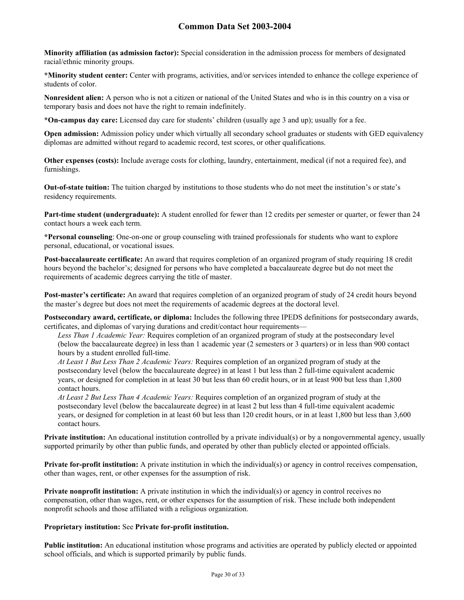**Minority affiliation (as admission factor):** Special consideration in the admission process for members of designated racial/ethnic minority groups.

**\*Minority student center:** Center with programs, activities, and/or services intended to enhance the college experience of students of color.

**Nonresident alien:** A person who is not a citizen or national of the United States and who is in this country on a visa or temporary basis and does not have the right to remain indefinitely.

**\*On-campus day care:** Licensed day care for students' children (usually age 3 and up); usually for a fee.

**Open admission:** Admission policy under which virtually all secondary school graduates or students with GED equivalency diplomas are admitted without regard to academic record, test scores, or other qualifications.

**Other expenses (costs):** Include average costs for clothing, laundry, entertainment, medical (if not a required fee), and furnishings.

**Out-of-state tuition:** The tuition charged by institutions to those students who do not meet the institution's or state's residency requirements.

**Part-time student (undergraduate):** A student enrolled for fewer than 12 credits per semester or quarter, or fewer than 24 contact hours a week each term.

**\*Personal counseling**: One-on-one or group counseling with trained professionals for students who want to explore personal, educational, or vocational issues.

**Post-baccalaureate certificate:** An award that requires completion of an organized program of study requiring 18 credit hours beyond the bachelor's; designed for persons who have completed a baccalaureate degree but do not meet the requirements of academic degrees carrying the title of master.

**Post-master's certificate:** An award that requires completion of an organized program of study of 24 credit hours beyond the master's degree but does not meet the requirements of academic degrees at the doctoral level.

**Postsecondary award, certificate, or diploma:** Includes the following three IPEDS definitions for postsecondary awards, certificates, and diplomas of varying durations and credit/contact hour requirements—

*Less Than 1 Academic Year:* Requires completion of an organized program of study at the postsecondary level (below the baccalaureate degree) in less than 1 academic year (2 semesters or 3 quarters) or in less than 900 contact hours by a student enrolled full-time.

*At Least 1 But Less Than 2 Academic Years:* Requires completion of an organized program of study at the postsecondary level (below the baccalaureate degree) in at least 1 but less than 2 full-time equivalent academic years, or designed for completion in at least 30 but less than 60 credit hours, or in at least 900 but less than 1,800 contact hours.

*At Least 2 But Less Than 4 Academic Years:* Requires completion of an organized program of study at the postsecondary level (below the baccalaureate degree) in at least 2 but less than 4 full-time equivalent academic years, or designed for completion in at least 60 but less than 120 credit hours, or in at least 1,800 but less than 3,600 contact hours.

**Private institution:** An educational institution controlled by a private individual(s) or by a nongovernmental agency, usually supported primarily by other than public funds, and operated by other than publicly elected or appointed officials.

**Private for-profit institution:** A private institution in which the individual(s) or agency in control receives compensation, other than wages, rent, or other expenses for the assumption of risk.

**Private nonprofit institution:** A private institution in which the individual(s) or agency in control receives no compensation, other than wages, rent, or other expenses for the assumption of risk. These include both independent nonprofit schools and those affiliated with a religious organization.

#### **Proprietary institution:** See **Private for-profit institution.**

**Public institution:** An educational institution whose programs and activities are operated by publicly elected or appointed school officials, and which is supported primarily by public funds.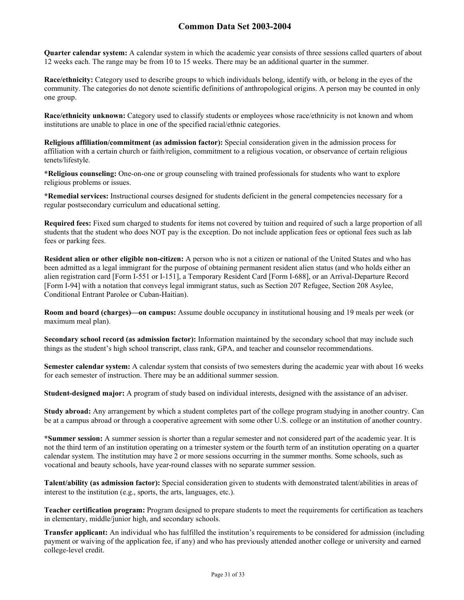**Quarter calendar system:** A calendar system in which the academic year consists of three sessions called quarters of about 12 weeks each. The range may be from 10 to 15 weeks. There may be an additional quarter in the summer.

**Race/ethnicity:** Category used to describe groups to which individuals belong, identify with, or belong in the eyes of the community. The categories do not denote scientific definitions of anthropological origins. A person may be counted in only one group.

**Race/ethnicity unknown:** Category used to classify students or employees whose race/ethnicity is not known and whom institutions are unable to place in one of the specified racial/ethnic categories.

**Religious affiliation/commitment (as admission factor):** Special consideration given in the admission process for affiliation with a certain church or faith/religion, commitment to a religious vocation, or observance of certain religious tenets/lifestyle.

**\*Religious counseling:** One-on-one or group counseling with trained professionals for students who want to explore religious problems or issues.

**\*Remedial services:** Instructional courses designed for students deficient in the general competencies necessary for a regular postsecondary curriculum and educational setting.

**Required fees:** Fixed sum charged to students for items not covered by tuition and required of such a large proportion of all students that the student who does NOT pay is the exception. Do not include application fees or optional fees such as lab fees or parking fees.

**Resident alien or other eligible non-citizen:** A person who is not a citizen or national of the United States and who has been admitted as a legal immigrant for the purpose of obtaining permanent resident alien status (and who holds either an alien registration card [Form I-551 or I-151], a Temporary Resident Card [Form I-688], or an Arrival-Departure Record [Form I-94] with a notation that conveys legal immigrant status, such as Section 207 Refugee, Section 208 Asylee, Conditional Entrant Parolee or Cuban-Haitian).

**Room and board (charges)—on campus:** Assume double occupancy in institutional housing and 19 meals per week (or maximum meal plan).

**Secondary school record (as admission factor):** Information maintained by the secondary school that may include such things as the student's high school transcript, class rank, GPA, and teacher and counselor recommendations.

**Semester calendar system:** A calendar system that consists of two semesters during the academic year with about 16 weeks for each semester of instruction. There may be an additional summer session.

**Student-designed major:** A program of study based on individual interests, designed with the assistance of an adviser.

**Study abroad:** Any arrangement by which a student completes part of the college program studying in another country. Can be at a campus abroad or through a cooperative agreement with some other U.S. college or an institution of another country.

**\*Summer session:** A summer session is shorter than a regular semester and not considered part of the academic year. It is not the third term of an institution operating on a trimester system or the fourth term of an institution operating on a quarter calendar system. The institution may have 2 or more sessions occurring in the summer months. Some schools, such as vocational and beauty schools, have year-round classes with no separate summer session.

**Talent/ability (as admission factor):** Special consideration given to students with demonstrated talent/abilities in areas of interest to the institution (e.g., sports, the arts, languages, etc.).

**Teacher certification program:** Program designed to prepare students to meet the requirements for certification as teachers in elementary, middle/junior high, and secondary schools.

**Transfer applicant:** An individual who has fulfilled the institution's requirements to be considered for admission (including payment or waiving of the application fee, if any) and who has previously attended another college or university and earned college-level credit.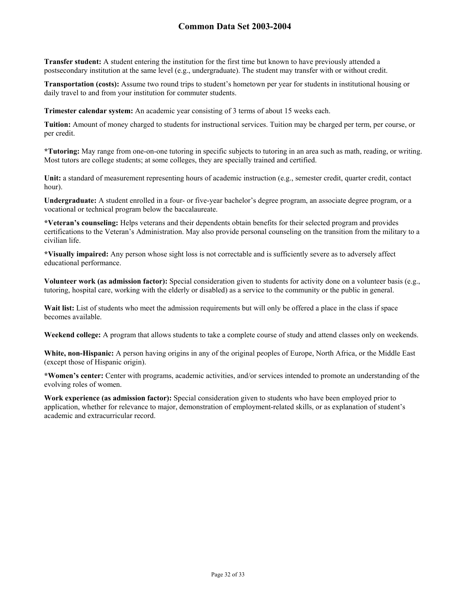**Transfer student:** A student entering the institution for the first time but known to have previously attended a postsecondary institution at the same level (e.g., undergraduate). The student may transfer with or without credit.

**Transportation (costs):** Assume two round trips to student's hometown per year for students in institutional housing or daily travel to and from your institution for commuter students.

**Trimester calendar system:** An academic year consisting of 3 terms of about 15 weeks each.

**Tuition:** Amount of money charged to students for instructional services. Tuition may be charged per term, per course, or per credit.

**\*Tutoring:** May range from one-on-one tutoring in specific subjects to tutoring in an area such as math, reading, or writing. Most tutors are college students; at some colleges, they are specially trained and certified.

Unit: a standard of measurement representing hours of academic instruction (e.g., semester credit, quarter credit, contact hour).

**Undergraduate:** A student enrolled in a four- or five-year bachelor's degree program, an associate degree program, or a vocational or technical program below the baccalaureate.

**\*Veteran's counseling:** Helps veterans and their dependents obtain benefits for their selected program and provides certifications to the Veteran's Administration. May also provide personal counseling on the transition from the military to a civilian life.

**\*Visually impaired:** Any person whose sight loss is not correctable and is sufficiently severe as to adversely affect educational performance.

**Volunteer work (as admission factor):** Special consideration given to students for activity done on a volunteer basis (e.g., tutoring, hospital care, working with the elderly or disabled) as a service to the community or the public in general.

Wait list: List of students who meet the admission requirements but will only be offered a place in the class if space becomes available.

**Weekend college:** A program that allows students to take a complete course of study and attend classes only on weekends.

**White, non-Hispanic:** A person having origins in any of the original peoples of Europe, North Africa, or the Middle East (except those of Hispanic origin).

**\*Women's center:** Center with programs, academic activities, and/or services intended to promote an understanding of the evolving roles of women.

**Work experience (as admission factor):** Special consideration given to students who have been employed prior to application, whether for relevance to major, demonstration of employment-related skills, or as explanation of student's academic and extracurricular record.